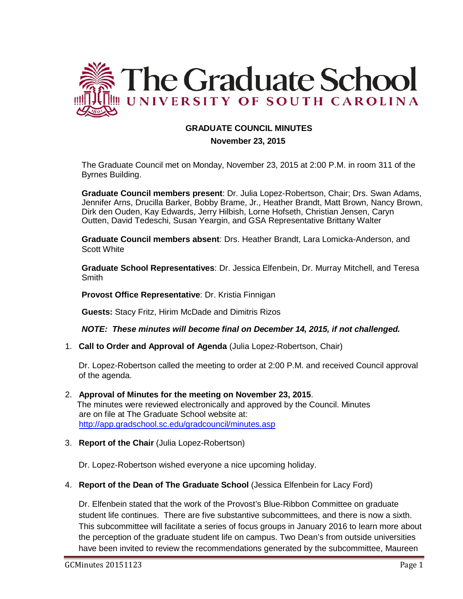

## **GRADUATE COUNCIL MINUTES**

 **November 23, 2015**

The Graduate Council met on Monday, November 23, 2015 at 2:00 P.M. in room 311 of the Byrnes Building.

**Graduate Council members present**: Dr. Julia Lopez-Robertson, Chair; Drs. Swan Adams, Jennifer Arns, Drucilla Barker, Bobby Brame, Jr., Heather Brandt, Matt Brown, Nancy Brown, Dirk den Ouden, Kay Edwards, Jerry Hilbish, Lorne Hofseth, Christian Jensen, Caryn Outten, David Tedeschi, Susan Yeargin, and GSA Representative Brittany Walter

**Graduate Council members absent**: Drs. Heather Brandt, Lara Lomicka-Anderson, and Scott White

**Graduate School Representatives**: Dr. Jessica Elfenbein, Dr. Murray Mitchell, and Teresa **Smith** 

**Provost Office Representative**: Dr. Kristia Finnigan

**Guests:** Stacy Fritz, Hirim McDade and Dimitris Rizos

*NOTE: These minutes will become final on December 14, 2015, if not challenged.*

1. **Call to Order and Approval of Agenda** (Julia Lopez-Robertson, Chair)

Dr. Lopez-Robertson called the meeting to order at 2:00 P.M. and received Council approval of the agenda.

- 2. **Approval of Minutes for the meeting on November 23, 2015**. The minutes were reviewed electronically and approved by the Council. Minutes are on file at The Graduate School website at: <http://app.gradschool.sc.edu/gradcouncil/minutes.asp>
- 3. **Report of the Chair** (Julia Lopez-Robertson)

Dr. Lopez-Robertson wished everyone a nice upcoming holiday.

4. **Report of the Dean of The Graduate School** (Jessica Elfenbein for Lacy Ford)

Dr. Elfenbein stated that the work of the Provost's Blue-Ribbon Committee on graduate student life continues. There are five substantive subcommittees, and there is now a sixth. This subcommittee will facilitate a series of focus groups in January 2016 to learn more about the perception of the graduate student life on campus. Two Dean's from outside universities have been invited to review the recommendations generated by the subcommittee, Maureen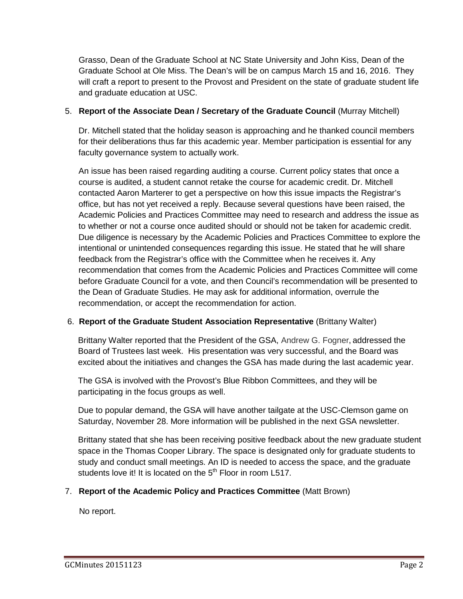Grasso, Dean of the Graduate School at NC State University and John Kiss, Dean of the Graduate School at Ole Miss. The Dean's will be on campus March 15 and 16, 2016. They will craft a report to present to the Provost and President on the state of graduate student life and graduate education at USC.

## 5. **Report of the Associate Dean / Secretary of the Graduate Council** (Murray Mitchell)

Dr. Mitchell stated that the holiday season is approaching and he thanked council members for their deliberations thus far this academic year. Member participation is essential for any faculty governance system to actually work.

An issue has been raised regarding auditing a course. Current policy states that once a course is audited, a student cannot retake the course for academic credit. Dr. Mitchell contacted Aaron Marterer to get a perspective on how this issue impacts the Registrar's office, but has not yet received a reply. Because several questions have been raised, the Academic Policies and Practices Committee may need to research and address the issue as to whether or not a course once audited should or should not be taken for academic credit. Due diligence is necessary by the Academic Policies and Practices Committee to explore the intentional or unintended consequences regarding this issue. He stated that he will share feedback from the Registrar's office with the Committee when he receives it. Any recommendation that comes from the Academic Policies and Practices Committee will come before Graduate Council for a vote, and then Council's recommendation will be presented to the Dean of Graduate Studies. He may ask for additional information, overrule the recommendation, or accept the recommendation for action.

## 6. **Report of the Graduate Student Association Representative** (Brittany Walter)

Brittany Walter reported that the President of the GSA, Andrew G. Fogner**,** addressed the Board of Trustees last week. His presentation was very successful, and the Board was excited about the initiatives and changes the GSA has made during the last academic year.

The GSA is involved with the Provost's Blue Ribbon Committees, and they will be participating in the focus groups as well.

Due to popular demand, the GSA will have another tailgate at the USC-Clemson game on Saturday, November 28. More information will be published in the next GSA newsletter.

Brittany stated that she has been receiving positive feedback about the new graduate student space in the Thomas Cooper Library. The space is designated only for graduate students to study and conduct small meetings. An ID is needed to access the space, and the graduate students love it! It is located on the  $5<sup>th</sup>$  Floor in room L517.

## 7. **Report of the Academic Policy and Practices Committee** (Matt Brown)

No report.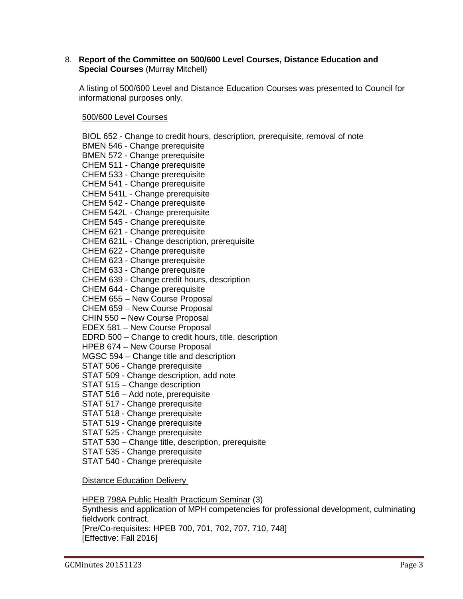## 8. **Report of the Committee on 500/600 Level Courses, Distance Education and Special Courses** (Murray Mitchell)

A listing of 500/600 Level and Distance Education Courses was presented to Council for informational purposes only.

500/600 Level Courses

BIOL 652 - Change to credit hours, description, prerequisite, removal of note BMEN 546 - Change prerequisite BMEN 572 - Change prerequisite CHEM 511 - Change prerequisite CHEM 533 - Change prerequisite CHEM 541 - Change prerequisite CHEM 541L - Change prerequisite CHEM 542 - Change prerequisite CHEM 542L - Change prerequisite CHEM 545 - Change prerequisite CHEM 621 - Change prerequisite CHEM 621L - Change description, prerequisite CHEM 622 - Change prerequisite CHEM 623 - Change prerequisite CHEM 633 - Change prerequisite CHEM 639 - Change credit hours, description CHEM 644 - Change prerequisite CHEM 655 – New Course Proposal CHEM 659 – New Course Proposal CHIN 550 – New Course Proposal EDEX 581 – New Course Proposal EDRD 500 – Change to credit hours, title, description HPEB 674 – New Course Proposal MGSC 594 – Change title and description STAT 506 - Change prerequisite STAT 509 - Change description, add note STAT 515 – Change description STAT 516 – Add note, prerequisite STAT 517 - Change prerequisite STAT 518 - Change prerequisite STAT 519 - Change prerequisite STAT 525 - Change prerequisite STAT 530 – Change title, description, prerequisite STAT 535 - Change prerequisite STAT 540 - Change prerequisite Distance Education Delivery

HPEB 798A Public Health Practicum Seminar (3) Synthesis and application of MPH competencies for professional development, culminating fieldwork contract. [Pre/Co-requisites: HPEB 700, 701, 702, 707, 710, 748] [Effective: Fall 2016]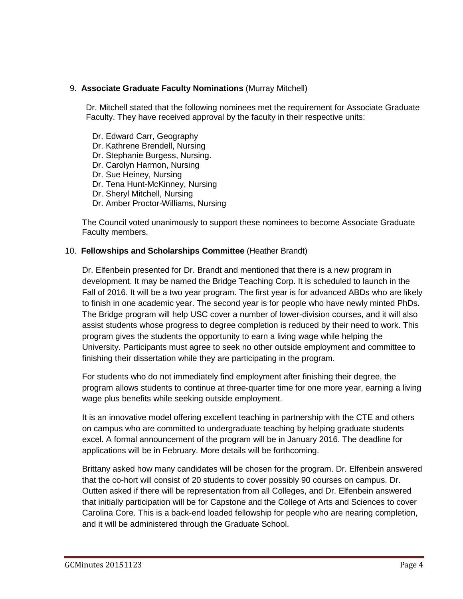## 9. **Associate Graduate Faculty Nominations** (Murray Mitchell)

Dr. Mitchell stated that the following nominees met the requirement for Associate Graduate Faculty. They have received approval by the faculty in their respective units:

- Dr. Edward Carr, Geography
- Dr. Kathrene Brendell, Nursing
- Dr. Stephanie Burgess, Nursing.
- Dr. Carolyn Harmon, Nursing
- Dr. Sue Heiney, Nursing
- Dr. Tena Hunt-McKinney, Nursing
- Dr. Sheryl Mitchell, Nursing
- Dr. Amber Proctor-Williams, Nursing

The Council voted unanimously to support these nominees to become Associate Graduate Faculty members.

### 10. **Fellowships and Scholarships Committee** (Heather Brandt)

Dr. Elfenbein presented for Dr. Brandt and mentioned that there is a new program in development. It may be named the Bridge Teaching Corp. It is scheduled to launch in the Fall of 2016. It will be a two year program. The first year is for advanced ABDs who are likely to finish in one academic year. The second year is for people who have newly minted PhDs. The Bridge program will help USC cover a number of lower-division courses, and it will also assist students whose progress to degree completion is reduced by their need to work. This program gives the students the opportunity to earn a living wage while helping the University. Participants must agree to seek no other outside employment and committee to finishing their dissertation while they are participating in the program.

For students who do not immediately find employment after finishing their degree, the program allows students to continue at three-quarter time for one more year, earning a living wage plus benefits while seeking outside employment.

It is an innovative model offering excellent teaching in partnership with the CTE and others on campus who are committed to undergraduate teaching by helping graduate students excel. A formal announcement of the program will be in January 2016. The deadline for applications will be in February. More details will be forthcoming.

Brittany asked how many candidates will be chosen for the program. Dr. Elfenbein answered that the co-hort will consist of 20 students to cover possibly 90 courses on campus. Dr. Outten asked if there will be representation from all Colleges, and Dr. Elfenbein answered that initially participation will be for Capstone and the College of Arts and Sciences to cover Carolina Core. This is a back-end loaded fellowship for people who are nearing completion, and it will be administered through the Graduate School.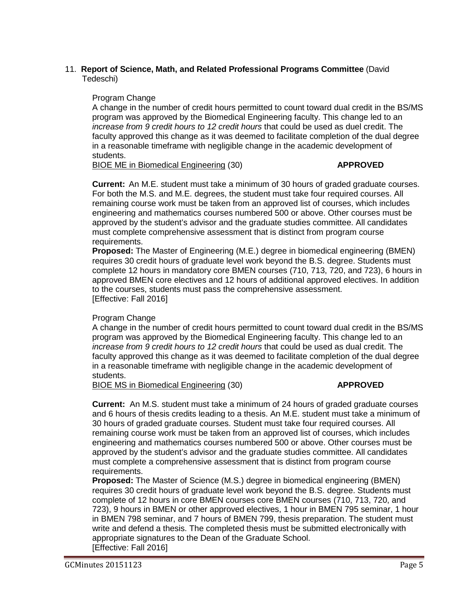## 11. **Report of Science, Math, and Related Professional Programs Committee** (David Tedeschi)

### Program Change

A change in the number of credit hours permitted to count toward dual credit in the BS/MS program was approved by the Biomedical Engineering faculty. This change led to an *increase from 9 credit hours to 12 credit hours* that could be used as duel credit. The faculty approved this change as it was deemed to facilitate completion of the dual degree in a reasonable timeframe with negligible change in the academic development of students.

BIOE ME in Biomedical Engineering (30) **APPROVED**

**Current:** An M.E. student must take a minimum of 30 hours of graded graduate courses. For both the M.S. and M.E. degrees, the student must take four required courses. All remaining course work must be taken from an approved list of courses, which includes engineering and mathematics courses numbered 500 or above. Other courses must be approved by the student's advisor and the graduate studies committee. All candidates must complete comprehensive assessment that is distinct from program course requirements.

**Proposed:** The Master of Engineering (M.E.) degree in biomedical engineering (BMEN) requires 30 credit hours of graduate level work beyond the B.S. degree. Students must complete 12 hours in mandatory core BMEN courses (710, 713, 720, and 723), 6 hours in approved BMEN core electives and 12 hours of additional approved electives. In addition to the courses, students must pass the comprehensive assessment. [Effective: Fall 2016]

## Program Change

A change in the number of credit hours permitted to count toward dual credit in the BS/MS program was approved by the Biomedical Engineering faculty. This change led to an *increase from 9 credit hours to 12 credit hours* that could be used as dual credit. The faculty approved this change as it was deemed to facilitate completion of the dual degree in a reasonable timeframe with negligible change in the academic development of students.

BIOE MS in Biomedical Engineering (30) **APPROVED**

**Current:** An M.S. student must take a minimum of 24 hours of graded graduate courses and 6 hours of thesis credits leading to a thesis. An M.E. student must take a minimum of 30 hours of graded graduate courses. Student must take four required courses. All remaining course work must be taken from an approved list of courses, which includes engineering and mathematics courses numbered 500 or above. Other courses must be approved by the student's advisor and the graduate studies committee. All candidates must complete a comprehensive assessment that is distinct from program course requirements.

**Proposed:** The Master of Science (M.S.) degree in biomedical engineering (BMEN) requires 30 credit hours of graduate level work beyond the B.S. degree. Students must complete of 12 hours in core BMEN courses core BMEN courses (710, 713, 720, and 723), 9 hours in BMEN or other approved electives, 1 hour in BMEN 795 seminar, 1 hour in BMEN 798 seminar, and 7 hours of BMEN 799, thesis preparation. The student must write and defend a thesis. The completed thesis must be submitted electronically with appropriate signatures to the Dean of the Graduate School. [Effective: Fall 2016]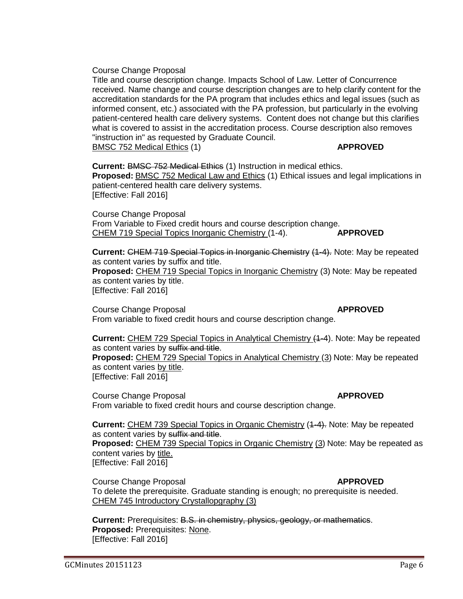## Course Change Proposal

Title and course description change. Impacts School of Law. Letter of Concurrence received. Name change and course description changes are to help clarify content for the accreditation standards for the PA program that includes ethics and legal issues (such as informed consent, etc.) associated with the PA profession, but particularly in the evolving patient-centered health care delivery systems. Content does not change but this clarifies what is covered to assist in the accreditation process. Course description also removes "instruction in" as requested by Graduate Council. BMSC 752 Medical Ethics (1) **APPROVED**

**Current:** BMSC 752 Medical Ethics (1) Instruction in medical ethics. **Proposed:** BMSC 752 Medical Law and Ethics (1) Ethical issues and legal implications in patient-centered health care delivery systems. [Effective: Fall 2016]

Course Change Proposal From Variable to Fixed credit hours and course description change. CHEM 719 Special Topics Inorganic Chemistry (1-4). **APPROVED**

**Current:** CHEM 719 Special Topics in Inorganic Chemistry (1-4). Note: May be repeated as content varies by suffix and title. **Proposed:** CHEM 719 Special Topics in Inorganic Chemistry (3) Note: May be repeated as content varies by title. [Effective: Fall 2016]

**Course Change Proposal** *APPROVED* From variable to fixed credit hours and course description change.

**Current:** CHEM 729 Special Topics in Analytical Chemistry (1-4). Note: May be repeated as content varies by suffix and title. **Proposed:** CHEM 729 Special Topics in Analytical Chemistry (3) Note: May be repeated as content varies by title. [Effective: Fall 2016]

**Course Change Proposal** *APPROVED* From variable to fixed credit hours and course description change.

**Current:** CHEM 739 Special Topics in Organic Chemistry (4-4). Note: May be repeated as content varies by suffix and title. **Proposed:** CHEM 739 Special Topics in Organic Chemistry (3) Note: May be repeated as content varies by title. [Effective: Fall 2016]

**Course Change Proposal** *APPROVED* To delete the prerequisite. Graduate standing is enough; no prerequisite is needed. CHEM 745 Introductory Crystallopgraphy (3)

**Current:** Prerequisites: B.S. in chemistry, physics, geology, or mathematics. **Proposed:** Prerequisites: None. [Effective: Fall 2016]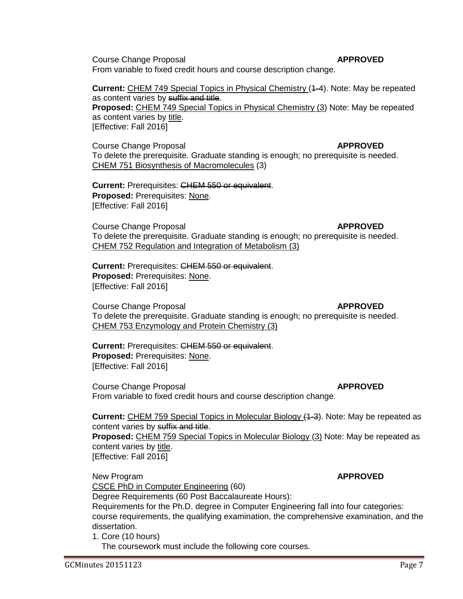Course Change Proposal **APPROVED** From variable to fixed credit hours and course description change.

**Current:** CHEM 749 Special Topics in Physical Chemistry (1-4). Note: May be repeated as content varies by suffix and title.

**Proposed:** CHEM 749 Special Topics in Physical Chemistry (3) Note: May be repeated as content varies by title. [Effective: Fall 2016]

**Course Change Proposal** *APPROVED* To delete the prerequisite. Graduate standing is enough; no prerequisite is needed. CHEM 751 Biosynthesis of Macromolecules (3)

**Current:** Prerequisites: CHEM 550 or equivalent. **Proposed:** Prerequisites: None. [Effective: Fall 2016]

**Course Change Proposal** *APPROVED* To delete the prerequisite. Graduate standing is enough; no prerequisite is needed. CHEM 752 Regulation and Integration of Metabolism (3)

**Current:** Prerequisites: CHEM 550 or equivalent. **Proposed:** Prerequisites: None. [Effective: Fall 2016]

**Course Change Proposal** *APPROVED* To delete the prerequisite. Graduate standing is enough; no prerequisite is needed. CHEM 753 Enzymology and Protein Chemistry (3)

**Current:** Prerequisites: CHEM 550 or equivalent. **Proposed:** Prerequisites: None. [Effective: Fall 2016]

**Course Change Proposal** *APPROVED* From variable to fixed credit hours and course description change.

**Current:** CHEM 759 Special Topics in Molecular Biology (1-3). Note: May be repeated as content varies by suffix and title.

**Proposed:** CHEM 759 Special Topics in Molecular Biology (3) Note: May be repeated as content varies by title.

[Effective: Fall 2016]

New Program **APPROVED** CSCE PhD in Computer Engineering (60)

Degree Requirements (60 Post Baccalaureate Hours):

Requirements for the Ph.D. degree in Computer Engineering fall into four categories: course requirements, the qualifying examination, the comprehensive examination, and the dissertation.

1. Core (10 hours)

The coursework must include the following core courses.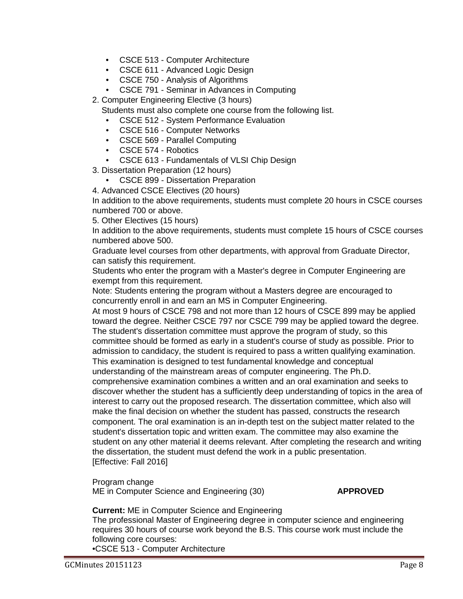- CSCE 513 Computer Architecture
- CSCE 611 Advanced Logic Design
- CSCE 750 Analysis of Algorithms
- CSCE 791 Seminar in Advances in Computing
- 2. Computer Engineering Elective (3 hours)
	- Students must also complete one course from the following list.
	- CSCE 512 System Performance Evaluation
	- CSCE 516 Computer Networks
	- CSCE 569 Parallel Computing
	- CSCE 574 Robotics
	- CSCE 613 Fundamentals of VLSI Chip Design
- 3. Dissertation Preparation (12 hours)
	- CSCE 899 Dissertation Preparation
- 4. Advanced CSCE Electives (20 hours)

In addition to the above requirements, students must complete 20 hours in CSCE courses numbered 700 or above.

5. Other Electives (15 hours)

In addition to the above requirements, students must complete 15 hours of CSCE courses numbered above 500.

Graduate level courses from other departments, with approval from Graduate Director, can satisfy this requirement.

Students who enter the program with a Master's degree in Computer Engineering are exempt from this requirement.

Note: Students entering the program without a Masters degree are encouraged to concurrently enroll in and earn an MS in Computer Engineering.

At most 9 hours of CSCE 798 and not more than 12 hours of CSCE 899 may be applied toward the degree. Neither CSCE 797 nor CSCE 799 may be applied toward the degree. The student's dissertation committee must approve the program of study, so this committee should be formed as early in a student's course of study as possible. Prior to admission to candidacy, the student is required to pass a written qualifying examination. This examination is designed to test fundamental knowledge and conceptual understanding of the mainstream areas of computer engineering. The Ph.D. comprehensive examination combines a written and an oral examination and seeks to discover whether the student has a sufficiently deep understanding of topics in the area of interest to carry out the proposed research. The dissertation committee, which also will make the final decision on whether the student has passed, constructs the research component. The oral examination is an in-depth test on the subject matter related to the student's dissertation topic and written exam. The committee may also examine the student on any other material it deems relevant. After completing the research and writing the dissertation, the student must defend the work in a public presentation. [Effective: Fall 2016]

Program change ME in Computer Science and Engineering (30) **APPROVED**

**Current:** ME in Computer Science and Engineering

The professional Master of Engineering degree in computer science and engineering requires 30 hours of course work beyond the B.S. This course work must include the following core courses: •CSCE 513 - Computer Architecture

GCMinutes 20151123 Page 8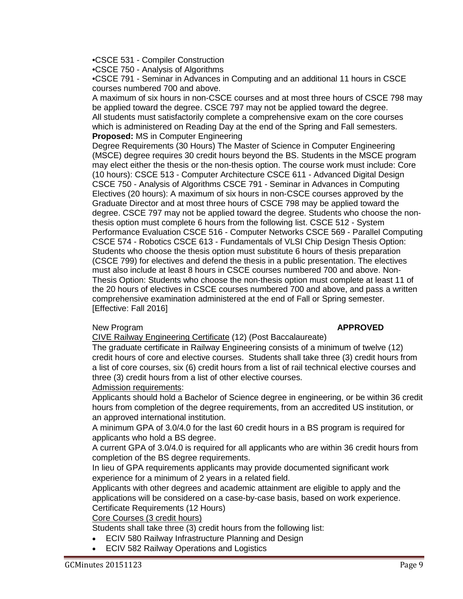•CSCE 531 - Compiler Construction

•CSCE 750 - Analysis of Algorithms

•CSCE 791 - Seminar in Advances in Computing and an additional 11 hours in CSCE courses numbered 700 and above.

A maximum of six hours in non-CSCE courses and at most three hours of CSCE 798 may be applied toward the degree. CSCE 797 may not be applied toward the degree. All students must satisfactorily complete a comprehensive exam on the core courses which is administered on Reading Day at the end of the Spring and Fall semesters. **Proposed:** MS in Computer Engineering

Degree Requirements (30 Hours) The Master of Science in Computer Engineering (MSCE) degree requires 30 credit hours beyond the BS. Students in the MSCE program may elect either the thesis or the non-thesis option. The course work must include: Core (10 hours): CSCE 513 - Computer Architecture CSCE 611 - Advanced Digital Design CSCE 750 - Analysis of Algorithms CSCE 791 - Seminar in Advances in Computing Electives (20 hours): A maximum of six hours in non-CSCE courses approved by the Graduate Director and at most three hours of CSCE 798 may be applied toward the degree. CSCE 797 may not be applied toward the degree. Students who choose the nonthesis option must complete 6 hours from the following list. CSCE 512 - System Performance Evaluation CSCE 516 - Computer Networks CSCE 569 - Parallel Computing CSCE 574 - Robotics CSCE 613 - Fundamentals of VLSI Chip Design Thesis Option: Students who choose the thesis option must substitute 6 hours of thesis preparation (CSCE 799) for electives and defend the thesis in a public presentation. The electives must also include at least 8 hours in CSCE courses numbered 700 and above. Non-Thesis Option: Students who choose the non-thesis option must complete at least 11 of the 20 hours of electives in CSCE courses numbered 700 and above, and pass a written comprehensive examination administered at the end of Fall or Spring semester. [Effective: Fall 2016]

## New Program **APPROVED**

CIVE Railway Engineering Certificate (12) (Post Baccalaureate)

The graduate certificate in Railway Engineering consists of a minimum of twelve (12) credit hours of core and elective courses. Students shall take three (3) credit hours from a list of core courses, six (6) credit hours from a list of rail technical elective courses and three (3) credit hours from a list of other elective courses.

## Admission requirements:

Applicants should hold a Bachelor of Science degree in engineering, or be within 36 credit hours from completion of the degree requirements, from an accredited US institution, or an approved international institution.

A minimum GPA of 3.0/4.0 for the last 60 credit hours in a BS program is required for applicants who hold a BS degree.

A current GPA of 3.0/4.0 is required for all applicants who are within 36 credit hours from completion of the BS degree requirements.

In lieu of GPA requirements applicants may provide documented significant work experience for a minimum of 2 years in a related field.

Applicants with other degrees and academic attainment are eligible to apply and the applications will be considered on a case-by-case basis, based on work experience. Certificate Requirements (12 Hours)

## Core Courses (3 credit hours)

Students shall take three (3) credit hours from the following list:

- ECIV 580 Railway Infrastructure Planning and Design
- ECIV 582 Railway Operations and Logistics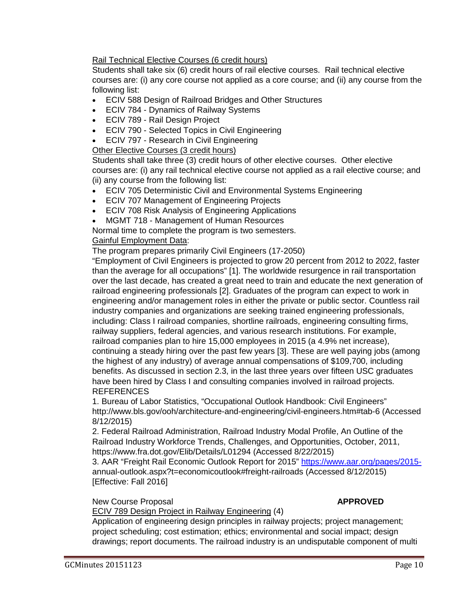Rail Technical Elective Courses (6 credit hours)

Students shall take six (6) credit hours of rail elective courses. Rail technical elective courses are: (i) any core course not applied as a core course; and (ii) any course from the following list:

- ECIV 588 Design of Railroad Bridges and Other Structures
- ECIV 784 Dynamics of Railway Systems
- ECIV 789 Rail Design Project
- **ECIV 790 Selected Topics in Civil Engineering**
- ECIV 797 Research in Civil Engineering

## Other Elective Courses (3 credit hours)

Students shall take three (3) credit hours of other elective courses. Other elective courses are: (i) any rail technical elective course not applied as a rail elective course; and (ii) any course from the following list:

- ECIV 705 Deterministic Civil and Environmental Systems Engineering
- ECIV 707 Management of Engineering Projects
- ECIV 708 Risk Analysis of Engineering Applications
- MGMT 718 Management of Human Resources

Normal time to complete the program is two semesters.

## Gainful Employment Data:

The program prepares primarily Civil Engineers (17-2050)

"Employment of Civil Engineers is projected to grow 20 percent from 2012 to 2022, faster than the average for all occupations" [1]. The worldwide resurgence in rail transportation over the last decade, has created a great need to train and educate the next generation of railroad engineering professionals [2]. Graduates of the program can expect to work in engineering and/or management roles in either the private or public sector. Countless rail industry companies and organizations are seeking trained engineering professionals, including: Class I railroad companies, shortline railroads, engineering consulting firms, railway suppliers, federal agencies, and various research institutions. For example, railroad companies plan to hire 15,000 employees in 2015 (a 4.9% net increase), continuing a steady hiring over the past few years [3]. These are well paying jobs (among the highest of any industry) of average annual compensations of \$109,700, including benefits. As discussed in section 2.3, in the last three years over fifteen USC graduates have been hired by Class I and consulting companies involved in railroad projects. **REFERENCES** 

1. Bureau of Labor Statistics, "Occupational Outlook Handbook: Civil Engineers" http://www.bls.gov/ooh/architecture-and-engineering/civil-engineers.htm#tab-6 (Accessed 8/12/2015)

2. Federal Railroad Administration, Railroad Industry Modal Profile, An Outline of the Railroad Industry Workforce Trends, Challenges, and Opportunities, October, 2011, https://www.fra.dot.gov/Elib/Details/L01294 (Accessed 8/22/2015)

3. AAR "Freight Rail Economic Outlook Report for 2015" [https://www.aar.org/pages/2015](https://www.aar.org/pages/2015-) annual-outlook.aspx?t=economicoutlook#freight-railroads (Accessed 8/12/2015) [Effective: Fall 2016]

## New Course Proposal **APPROVED**

## ECIV 789 Design Project in Railway Engineering (4)

Application of engineering design principles in railway projects; project management; project scheduling; cost estimation; ethics; environmental and social impact; design drawings; report documents. The railroad industry is an undisputable component of multi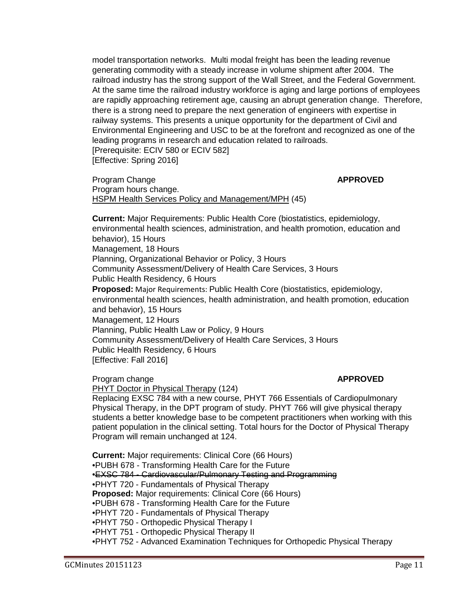model transportation networks. Multi modal freight has been the leading revenue generating commodity with a steady increase in volume shipment after 2004. The railroad industry has the strong support of the Wall Street, and the Federal Government. At the same time the railroad industry workforce is aging and large portions of employees are rapidly approaching retirement age, causing an abrupt generation change. Therefore, there is a strong need to prepare the next generation of engineers with expertise in railway systems. This presents a unique opportunity for the department of Civil and Environmental Engineering and USC to be at the forefront and recognized as one of the leading programs in research and education related to railroads. [Prerequisite: ECIV 580 or ECIV 582] [Effective: Spring 2016]

Program Change **APPROVED** Program hours change. HSPM Health Services Policy and Management/MPH (45)

**Current:** Major Requirements: Public Health Core (biostatistics, epidemiology, environmental health sciences, administration, and health promotion, education and behavior), 15 Hours Management, 18 Hours Planning, Organizational Behavior or Policy, 3 Hours Community Assessment/Delivery of Health Care Services, 3 Hours Public Health Residency, 6 Hours **Proposed:** Major Requirements: Public Health Core (biostatistics, epidemiology, environmental health sciences, health administration, and health promotion, education and behavior), 15 Hours Management, 12 Hours Planning, Public Health Law or Policy, 9 Hours Community Assessment/Delivery of Health Care Services, 3 Hours Public Health Residency, 6 Hours [Effective: Fall 2016]

**Program change and all the set of the set of the set of the APPROVED** 

PHYT Doctor in Physical Therapy (124)

Replacing EXSC 784 with a new course, PHYT 766 Essentials of Cardiopulmonary Physical Therapy, in the DPT program of study. PHYT 766 will give physical therapy students a better knowledge base to be competent practitioners when working with this patient population in the clinical setting. Total hours for the Doctor of Physical Therapy Program will remain unchanged at 124.

**Current:** Major requirements: Clinical Core (66 Hours) •PUBH 678 - Transforming Health Care for the Future •EXSC 784 - Cardiovascular/Pulmonary Testing and Programming •PHYT 720 - Fundamentals of Physical Therapy **Proposed:** Major requirements: Clinical Core (66 Hours) •PUBH 678 - Transforming Health Care for the Future •PHYT 720 - Fundamentals of Physical Therapy •PHYT 750 - Orthopedic Physical Therapy I •PHYT 751 - Orthopedic Physical Therapy II •PHYT 752 - Advanced Examination Techniques for Orthopedic Physical Therapy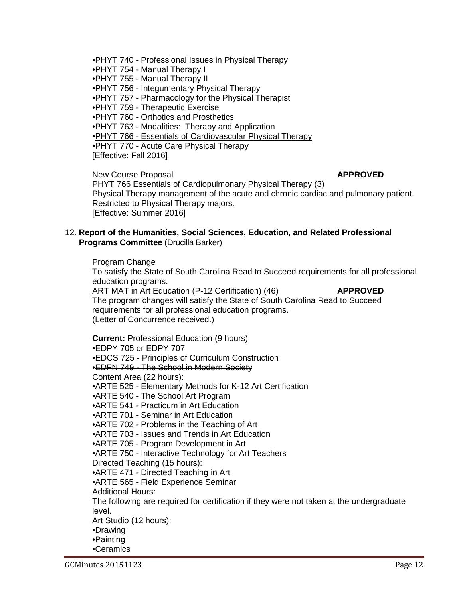•PHYT 740 - Professional Issues in Physical Therapy

•PHYT 754 - Manual Therapy I

•PHYT 755 - Manual Therapy II

•PHYT 756 - Integumentary Physical Therapy

•PHYT 757 - Pharmacology for the Physical Therapist

•PHYT 759 - Therapeutic Exercise

•PHYT 760 - Orthotics and Prosthetics

•PHYT 763 - Modalities: Therapy and Application

•PHYT 766 - Essentials of Cardiovascular Physical Therapy

•PHYT 770 - Acute Care Physical Therapy

[Effective: Fall 2016]

New Course Proposal **APPROVED** PHYT 766 Essentials of Cardiopulmonary Physical Therapy (3) Physical Therapy management of the acute and chronic cardiac and pulmonary patient. Restricted to Physical Therapy majors. [Effective: Summer 2016]

## 12. **Report of the Humanities, Social Sciences, Education, and Related Professional Programs Committee** (Drucilla Barker)

Program Change

To satisfy the State of South Carolina Read to Succeed requirements for all professional education programs.

ART MAT in Art Education (P-12 Certification) (46) **APPROVED** The program changes will satisfy the State of South Carolina Read to Succeed requirements for all professional education programs. (Letter of Concurrence received.)

**Current:** Professional Education (9 hours) •EDPY 705 or EDPY 707 •EDCS 725 - Principles of Curriculum Construction •EDFN 749 - The School in Modern Society Content Area (22 hours): •ARTE 525 - Elementary Methods for K-12 Art Certification •ARTE 540 - The School Art Program •ARTE 541 - Practicum in Art Education •ARTE 701 - Seminar in Art Education •ARTE 702 - Problems in the Teaching of Art •ARTE 703 - Issues and Trends in Art Education •ARTE 705 - Program Development in Art •ARTE 750 - Interactive Technology for Art Teachers Directed Teaching (15 hours): •ARTE 471 - Directed Teaching in Art •ARTE 565 - Field Experience Seminar Additional Hours: The following are required for certification if they were not taken at the undergraduate level. Art Studio (12 hours): •Drawing •Painting •Ceramics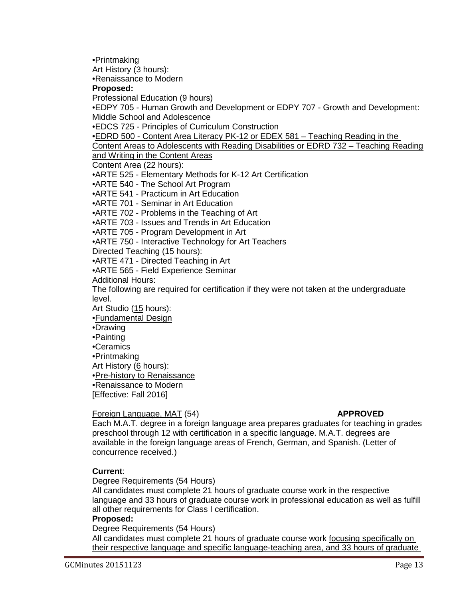•Printmaking

Art History (3 hours):

•Renaissance to Modern

### **Proposed:**

Professional Education (9 hours)

•EDPY 705 - Human Growth and Development or EDPY 707 - Growth and Development: Middle School and Adolescence

•EDCS 725 - Principles of Curriculum Construction

•EDRD 500 - Content Area Literacy PK-12 or EDEX 581 – Teaching Reading in the

Content Areas to Adolescents with Reading Disabilities or EDRD 732 – Teaching Reading

and Writing in the Content Areas

Content Area (22 hours):

•ARTE 525 - Elementary Methods for K-12 Art Certification

•ARTE 540 - The School Art Program

•ARTE 541 - Practicum in Art Education

•ARTE 701 - Seminar in Art Education

•ARTE 702 - Problems in the Teaching of Art

•ARTE 703 - Issues and Trends in Art Education

•ARTE 705 - Program Development in Art

•ARTE 750 - Interactive Technology for Art Teachers

Directed Teaching (15 hours):

•ARTE 471 - Directed Teaching in Art

•ARTE 565 - Field Experience Seminar

Additional Hours:

The following are required for certification if they were not taken at the undergraduate level.

Art Studio (15 hours):

•Fundamental Design

- •Drawing
- •Painting

•Ceramics

•Printmaking

Art History (6 hours):

•Pre-history to Renaissance

•Renaissance to Modern [Effective: Fall 2016]

## Foreign Language, MAT (54) **APPROVED**

Each M.A.T. degree in a foreign language area prepares graduates for teaching in grades preschool through 12 with certification in a specific language. M.A.T. degrees are available in the foreign language areas of French, German, and Spanish. (Letter of concurrence received.)

## **Current**:

Degree Requirements (54 Hours)

All candidates must complete 21 hours of graduate course work in the respective language and 33 hours of graduate course work in professional education as well as fulfill all other requirements for Class I certification.

## **Proposed:**

Degree Requirements (54 Hours)

All candidates must complete 21 hours of graduate course work focusing specifically on their respective language and specific language-teaching area, and 33 hours of graduate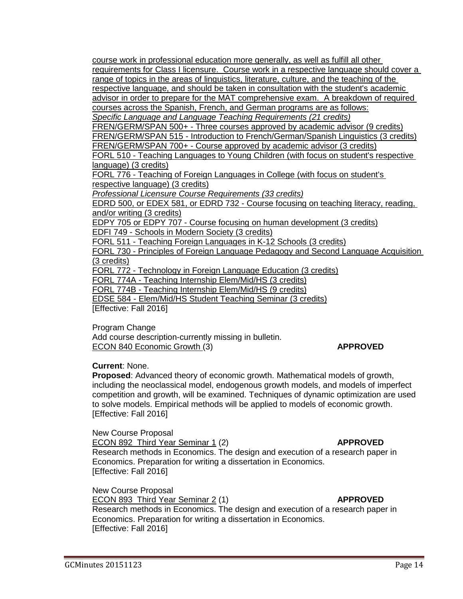course work in professional education more generally, as well as fulfill all other requirements for Class I licensure. Course work in a respective language should cover a range of topics in the areas of linguistics, literature, culture, and the teaching of the respective language, and should be taken in consultation with the student's academic advisor in order to prepare for the MAT comprehensive exam. A breakdown of required courses across the Spanish, French, and German programs are as follows: *Specific Language and Language Teaching Requirements (21 credits)* FREN/GERM/SPAN 500+ - Three courses approved by academic advisor (9 credits) FREN/GERM/SPAN 515 - Introduction to French/German/Spanish Linguistics (3 credits) FREN/GERM/SPAN 700+ - Course approved by academic advisor (3 credits) FORL 510 - Teaching Languages to Young Children (with focus on student's respective language) (3 credits) FORL 776 - Teaching of Foreign Languages in College (with focus on student's respective language) (3 credits) *Professional Licensure Course Requirements (33 credits)* EDRD 500, or EDEX 581, or EDRD 732 - Course focusing on teaching literacy, reading, and/or writing (3 credits) EDPY 705 or EDPY 707 - Course focusing on human development (3 credits) EDFI 749 - Schools in Modern Society (3 credits) FORL 511 - Teaching Foreign Languages in K-12 Schools (3 credits) FORL 730 - Principles of Foreign Language Pedagogy and Second Language Acquisition (3 credits) FORL 772 - Technology in Foreign Language Education (3 credits) FORL 774A - Teaching Internship Elem/Mid/HS (3 credits) FORL 774B - Teaching Internship Elem/Mid/HS (9 credits) EDSE 584 - Elem/Mid/HS Student Teaching Seminar (3 credits)

[Effective: Fall 2016]

Program Change

Add course description-currently missing in bulletin. ECON 840 Economic Growth (3) **APPROVED**

**Current**: None.

**Proposed**: Advanced theory of economic growth. Mathematical models of growth, including the neoclassical model, endogenous growth models, and models of imperfect competition and growth, will be examined. Techniques of dynamic optimization are used to solve models. Empirical methods will be applied to models of economic growth. [Effective: Fall 2016]

New Course Proposal

ECON 892 Third Year Seminar 1 (2) **APPROVED**

Research methods in Economics. The design and execution of a research paper in Economics. Preparation for writing a dissertation in Economics. [Effective: Fall 2016]

New Course Proposal

ECON 893 Third Year Seminar 2 (1) **APPROVED**

Research methods in Economics. The design and execution of a research paper in Economics. Preparation for writing a dissertation in Economics. [Effective: Fall 2016]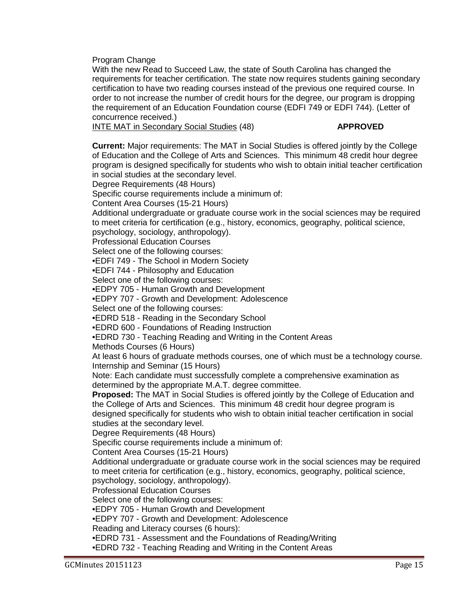Program Change

With the new Read to Succeed Law, the state of South Carolina has changed the requirements for teacher certification. The state now requires students gaining secondary certification to have two reading courses instead of the previous one required course. In order to not increase the number of credit hours for the degree, our program is dropping the requirement of an Education Foundation course (EDFI 749 or EDFI 744). (Letter of concurrence received.)

INTE MAT in Secondary Social Studies (48) **APPROVED** 

**Current:** Major requirements: The MAT in Social Studies is offered jointly by the College of Education and the College of Arts and Sciences. This minimum 48 credit hour degree program is designed specifically for students who wish to obtain initial teacher certification in social studies at the secondary level.

Degree Requirements (48 Hours)

Specific course requirements include a minimum of:

Content Area Courses (15-21 Hours)

Additional undergraduate or graduate course work in the social sciences may be required to meet criteria for certification (e.g., history, economics, geography, political science,

psychology, sociology, anthropology).

Professional Education Courses

Select one of the following courses:

•EDFI 749 - The School in Modern Society

•EDFI 744 - Philosophy and Education

Select one of the following courses:

•EDPY 705 - Human Growth and Development

•EDPY 707 - Growth and Development: Adolescence

Select one of the following courses:

•EDRD 518 - Reading in the Secondary School

•EDRD 600 - Foundations of Reading Instruction

•EDRD 730 - Teaching Reading and Writing in the Content Areas

Methods Courses (6 Hours)

At least 6 hours of graduate methods courses, one of which must be a technology course. Internship and Seminar (15 Hours)

Note: Each candidate must successfully complete a comprehensive examination as determined by the appropriate M.A.T. degree committee.

**Proposed:** The MAT in Social Studies is offered jointly by the College of Education and the College of Arts and Sciences. This minimum 48 credit hour degree program is designed specifically for students who wish to obtain initial teacher certification in social studies at the secondary level.

Degree Requirements (48 Hours)

Specific course requirements include a minimum of:

Content Area Courses (15-21 Hours)

Additional undergraduate or graduate course work in the social sciences may be required to meet criteria for certification (e.g., history, economics, geography, political science, psychology, sociology, anthropology).

Professional Education Courses

Select one of the following courses:

•EDPY 705 - Human Growth and Development

•EDPY 707 - Growth and Development: Adolescence

Reading and Literacy courses (6 hours):

•EDRD 731 - Assessment and the Foundations of Reading/Writing

•EDRD 732 - Teaching Reading and Writing in the Content Areas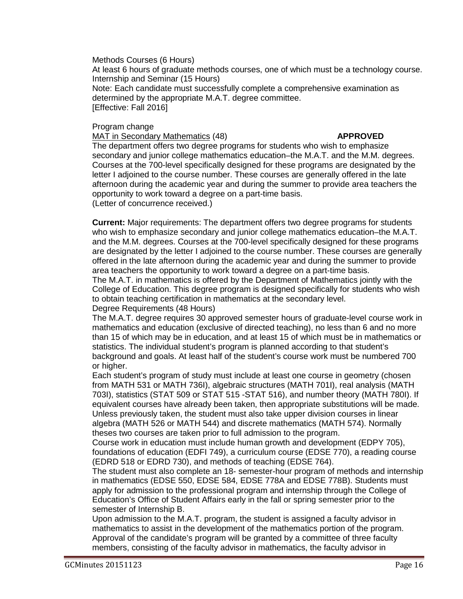Methods Courses (6 Hours)

At least 6 hours of graduate methods courses, one of which must be a technology course. Internship and Seminar (15 Hours)

Note: Each candidate must successfully complete a comprehensive examination as determined by the appropriate M.A.T. degree committee. [Effective: Fall 2016]

## Program change

## MAT in Secondary Mathematics (48) **APPROVED**

The department offers two degree programs for students who wish to emphasize secondary and junior college mathematics education–the M.A.T. and the M.M. degrees. Courses at the 700-level specifically designed for these programs are designated by the letter I adjoined to the course number. These courses are generally offered in the late afternoon during the academic year and during the summer to provide area teachers the opportunity to work toward a degree on a part-time basis. (Letter of concurrence received.)

**Current:** Major requirements: The department offers two degree programs for students who wish to emphasize secondary and junior college mathematics education–the M.A.T. and the M.M. degrees. Courses at the 700-level specifically designed for these programs are designated by the letter I adjoined to the course number. These courses are generally offered in the late afternoon during the academic year and during the summer to provide area teachers the opportunity to work toward a degree on a part-time basis.

The M.A.T. in mathematics is offered by the Department of Mathematics jointly with the College of Education. This degree program is designed specifically for students who wish to obtain teaching certification in mathematics at the secondary level.

# Degree Requirements (48 Hours)

The M.A.T. degree requires 30 approved semester hours of graduate-level course work in mathematics and education (exclusive of directed teaching), no less than 6 and no more than 15 of which may be in education, and at least 15 of which must be in mathematics or statistics. The individual student's program is planned according to that student's background and goals. At least half of the student's course work must be numbered 700 or higher.

Each student's program of study must include at least one course in geometry (chosen from MATH 531 or MATH 736I), algebraic structures (MATH 701I), real analysis (MATH 703I), statistics (STAT 509 or STAT 515 -STAT 516), and number theory (MATH 780I). If equivalent courses have already been taken, then appropriate substitutions will be made. Unless previously taken, the student must also take upper division courses in linear algebra (MATH 526 or MATH 544) and discrete mathematics (MATH 574). Normally theses two courses are taken prior to full admission to the program.

Course work in education must include human growth and development (EDPY 705), foundations of education (EDFI 749), a curriculum course (EDSE 770), a reading course (EDRD 518 or EDRD 730), and methods of teaching (EDSE 764).

The student must also complete an 18- semester-hour program of methods and internship in mathematics (EDSE 550, EDSE 584, EDSE 778A and EDSE 778B). Students must apply for admission to the professional program and internship through the College of Education's Office of Student Affairs early in the fall or spring semester prior to the semester of Internship B.

Upon admission to the M.A.T. program, the student is assigned a faculty advisor in mathematics to assist in the development of the mathematics portion of the program. Approval of the candidate's program will be granted by a committee of three faculty members, consisting of the faculty advisor in mathematics, the faculty advisor in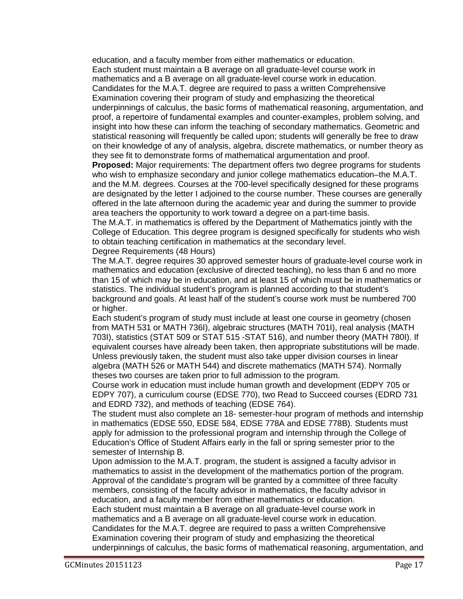education, and a faculty member from either mathematics or education. Each student must maintain a B average on all graduate-level course work in mathematics and a B average on all graduate-level course work in education. Candidates for the M.A.T. degree are required to pass a written Comprehensive Examination covering their program of study and emphasizing the theoretical underpinnings of calculus, the basic forms of mathematical reasoning, argumentation, and proof, a repertoire of fundamental examples and counter-examples, problem solving, and insight into how these can inform the teaching of secondary mathematics. Geometric and statistical reasoning will frequently be called upon; students will generally be free to draw on their knowledge of any of analysis, algebra, discrete mathematics, or number theory as they see fit to demonstrate forms of mathematical argumentation and proof.

**Proposed:** Major requirements: The department offers two degree programs for students who wish to emphasize secondary and junior college mathematics education–the M.A.T. and the M.M. degrees. Courses at the 700-level specifically designed for these programs are designated by the letter I adjoined to the course number. These courses are generally offered in the late afternoon during the academic year and during the summer to provide area teachers the opportunity to work toward a degree on a part-time basis.

The M.A.T. in mathematics is offered by the Department of Mathematics jointly with the College of Education. This degree program is designed specifically for students who wish to obtain teaching certification in mathematics at the secondary level.

### Degree Requirements (48 Hours)

The M.A.T. degree requires 30 approved semester hours of graduate-level course work in mathematics and education (exclusive of directed teaching), no less than 6 and no more than 15 of which may be in education, and at least 15 of which must be in mathematics or statistics. The individual student's program is planned according to that student's background and goals. At least half of the student's course work must be numbered 700 or higher.

Each student's program of study must include at least one course in geometry (chosen from MATH 531 or MATH 736I), algebraic structures (MATH 701I), real analysis (MATH 703I), statistics (STAT 509 or STAT 515 -STAT 516), and number theory (MATH 780I). If equivalent courses have already been taken, then appropriate substitutions will be made. Unless previously taken, the student must also take upper division courses in linear algebra (MATH 526 or MATH 544) and discrete mathematics (MATH 574). Normally theses two courses are taken prior to full admission to the program.

Course work in education must include human growth and development (EDPY 705 or EDPY 707), a curriculum course (EDSE 770), two Read to Succeed courses (EDRD 731 and EDRD 732), and methods of teaching (EDSE 764).

The student must also complete an 18- semester-hour program of methods and internship in mathematics (EDSE 550, EDSE 584, EDSE 778A and EDSE 778B). Students must apply for admission to the professional program and internship through the College of Education's Office of Student Affairs early in the fall or spring semester prior to the semester of Internship B.

Upon admission to the M.A.T. program, the student is assigned a faculty advisor in mathematics to assist in the development of the mathematics portion of the program. Approval of the candidate's program will be granted by a committee of three faculty members, consisting of the faculty advisor in mathematics, the faculty advisor in education, and a faculty member from either mathematics or education. Each student must maintain a B average on all graduate-level course work in mathematics and a B average on all graduate-level course work in education. Candidates for the M.A.T. degree are required to pass a written Comprehensive Examination covering their program of study and emphasizing the theoretical underpinnings of calculus, the basic forms of mathematical reasoning, argumentation, and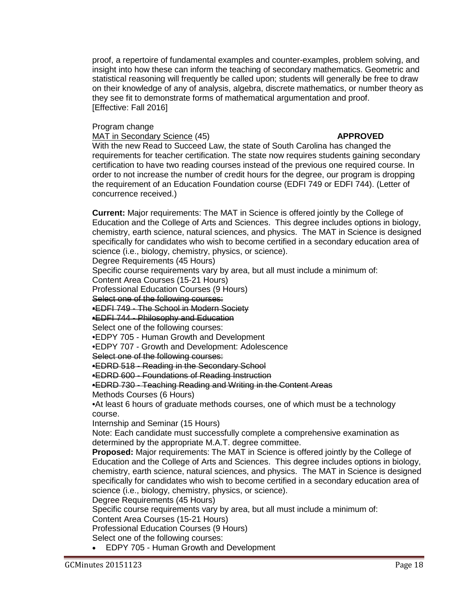proof, a repertoire of fundamental examples and counter-examples, problem solving, and insight into how these can inform the teaching of secondary mathematics. Geometric and statistical reasoning will frequently be called upon; students will generally be free to draw on their knowledge of any of analysis, algebra, discrete mathematics, or number theory as they see fit to demonstrate forms of mathematical argumentation and proof. [Effective: Fall 2016]

### Program change

### MAT in Secondary Science (45) **APPROVED**

With the new Read to Succeed Law, the state of South Carolina has changed the requirements for teacher certification. The state now requires students gaining secondary certification to have two reading courses instead of the previous one required course. In order to not increase the number of credit hours for the degree, our program is dropping the requirement of an Education Foundation course (EDFI 749 or EDFI 744). (Letter of concurrence received.)

**Current:** Major requirements: The MAT in Science is offered jointly by the College of Education and the College of Arts and Sciences. This degree includes options in biology, chemistry, earth science, natural sciences, and physics. The MAT in Science is designed specifically for candidates who wish to become certified in a secondary education area of science (i.e., biology, chemistry, physics, or science).

Degree Requirements (45 Hours)

Specific course requirements vary by area, but all must include a minimum of:

Content Area Courses (15-21 Hours)

Professional Education Courses (9 Hours)

Select one of the following courses:

•EDFI 749 - The School in Modern Society

•EDFI 744 - Philosophy and Education

Select one of the following courses:

•EDPY 705 - Human Growth and Development

•EDPY 707 - Growth and Development: Adolescence

Select one of the following courses:

•EDRD 518 - Reading in the Secondary School

•EDRD 600 - Foundations of Reading Instruction

•EDRD 730 - Teaching Reading and Writing in the Content Areas

Methods Courses (6 Hours)

•At least 6 hours of graduate methods courses, one of which must be a technology course.

Internship and Seminar (15 Hours)

Note: Each candidate must successfully complete a comprehensive examination as determined by the appropriate M.A.T. degree committee.

**Proposed:** Major requirements: The MAT in Science is offered jointly by the College of Education and the College of Arts and Sciences. This degree includes options in biology, chemistry, earth science, natural sciences, and physics. The MAT in Science is designed specifically for candidates who wish to become certified in a secondary education area of science (i.e., biology, chemistry, physics, or science).

Degree Requirements (45 Hours)

Specific course requirements vary by area, but all must include a minimum of:

Content Area Courses (15-21 Hours)

Professional Education Courses (9 Hours)

Select one of the following courses:

• EDPY 705 - Human Growth and Development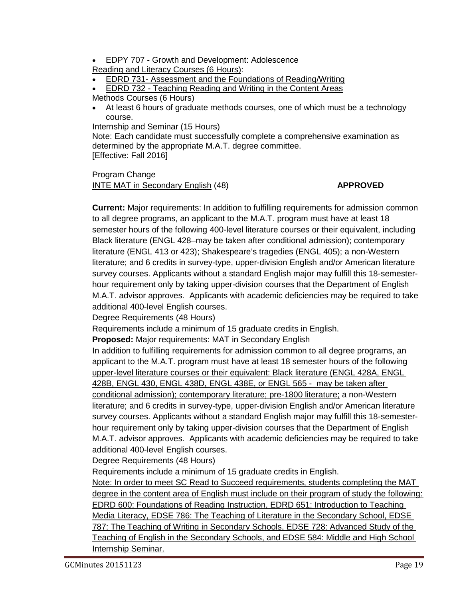• EDPY 707 - Growth and Development: Adolescence

Reading and Literacy Courses (6 Hours):

• EDRD 731- Assessment and the Foundations of Reading/Writing

• EDRD 732 - Teaching Reading and Writing in the Content Areas

Methods Courses (6 Hours)

• At least 6 hours of graduate methods courses, one of which must be a technology course.

Internship and Seminar (15 Hours)

Note: Each candidate must successfully complete a comprehensive examination as determined by the appropriate M.A.T. degree committee. [Effective: Fall 2016]

Program Change INTE MAT in Secondary English (48) **APPROVED** 

**Current:** Major requirements: In addition to fulfilling requirements for admission common to all degree programs, an applicant to the M.A.T. program must have at least 18 semester hours of the following 400-level literature courses or their equivalent, including Black literature (ENGL 428–may be taken after conditional admission); contemporary literature (ENGL 413 or 423); Shakespeare's tragedies (ENGL 405); a non-Western literature; and 6 credits in survey-type, upper-division English and/or American literature survey courses. Applicants without a standard English major may fulfill this 18-semesterhour requirement only by taking upper-division courses that the Department of English M.A.T. advisor approves. Applicants with academic deficiencies may be required to take additional 400-level English courses.

Degree Requirements (48 Hours)

Requirements include a minimum of 15 graduate credits in English.

**Proposed:** Major requirements: MAT in Secondary English

In addition to fulfilling requirements for admission common to all degree programs, an applicant to the M.A.T. program must have at least 18 semester hours of the following upper-level literature courses or their equivalent: Black literature (ENGL 428A, ENGL 428B, ENGL 430, ENGL 438D, ENGL 438E, or ENGL 565 - may be taken after conditional admission); contemporary literature; pre-1800 literature; a non-Western literature; and 6 credits in survey-type, upper-division English and/or American literature survey courses. Applicants without a standard English major may fulfill this 18-semesterhour requirement only by taking upper-division courses that the Department of English M.A.T. advisor approves. Applicants with academic deficiencies may be required to take additional 400-level English courses.

Degree Requirements (48 Hours)

Requirements include a minimum of 15 graduate credits in English.

Note: In order to meet SC Read to Succeed requirements, students completing the MAT degree in the content area of English must include on their program of study the following: EDRD 600: Foundations of Reading Instruction, EDRD 651: Introduction to Teaching Media Literacy, EDSE 786: The Teaching of Literature in the Secondary School, EDSE 787: The Teaching of Writing in Secondary Schools, EDSE 728: Advanced Study of the Teaching of English in the Secondary Schools, and EDSE 584: Middle and High School Internship Seminar.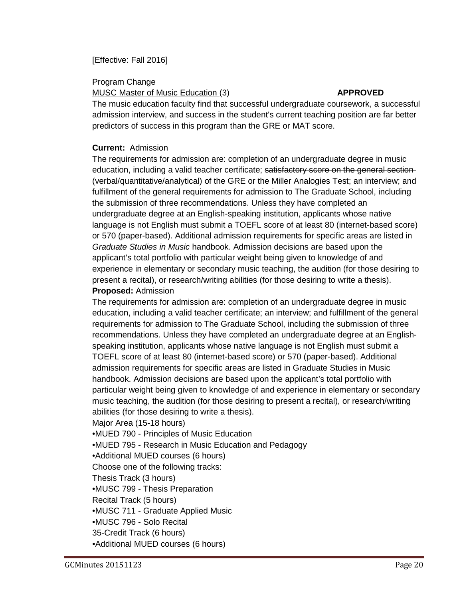## [Effective: Fall 2016]

Program Change

### MUSC Master of Music Education (3) **APPROVED**

The music education faculty find that successful undergraduate coursework, a successful admission interview, and success in the student's current teaching position are far better predictors of success in this program than the GRE or MAT score.

## **Current:** Admission

The requirements for admission are: completion of an undergraduate degree in music education, including a valid teacher certificate; satisfactory score on the general section-(verbal/quantitative/analytical) of the GRE or the Miller Analogies Test; an interview; and fulfillment of the general requirements for admission to The Graduate School, including the submission of three recommendations. Unless they have completed an undergraduate degree at an English-speaking institution, applicants whose native language is not English must submit a TOEFL score of at least 80 (internet-based score) or 570 (paper-based). Additional admission requirements for specific areas are listed in *Graduate Studies in Music* handbook. Admission decisions are based upon the applicant's total portfolio with particular weight being given to knowledge of and experience in elementary or secondary music teaching, the audition (for those desiring to present a recital), or research/writing abilities (for those desiring to write a thesis). **Proposed:** Admission

The requirements for admission are: completion of an undergraduate degree in music education, including a valid teacher certificate; an interview; and fulfillment of the general requirements for admission to The Graduate School, including the submission of three recommendations. Unless they have completed an undergraduate degree at an Englishspeaking institution, applicants whose native language is not English must submit a TOEFL score of at least 80 (internet-based score) or 570 (paper-based). Additional admission requirements for specific areas are listed in Graduate Studies in Music handbook. Admission decisions are based upon the applicant's total portfolio with particular weight being given to knowledge of and experience in elementary or secondary music teaching, the audition (for those desiring to present a recital), or research/writing abilities (for those desiring to write a thesis).

Major Area (15-18 hours)

•MUED 790 - Principles of Music Education

•MUED 795 - Research in Music Education and Pedagogy

•Additional MUED courses (6 hours)

Choose one of the following tracks:

Thesis Track (3 hours)

•MUSC 799 - Thesis Preparation

Recital Track (5 hours)

•MUSC 711 - Graduate Applied Music

•MUSC 796 - Solo Recital

35-Credit Track (6 hours)

•Additional MUED courses (6 hours)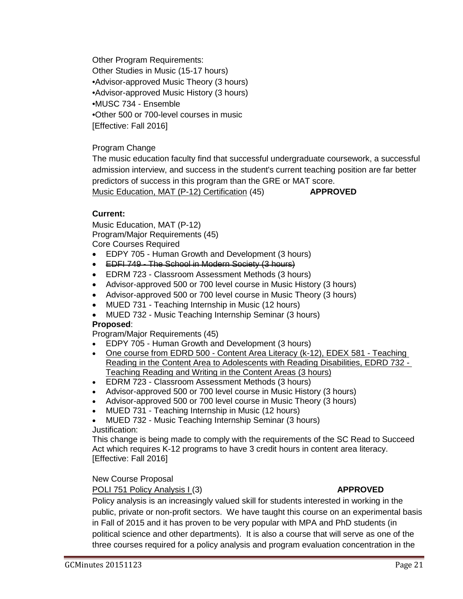Other Program Requirements: Other Studies in Music (15-17 hours) •Advisor-approved Music Theory (3 hours) •Advisor-approved Music History (3 hours) •MUSC 734 - Ensemble •Other 500 or 700-level courses in music [Effective: Fall 2016]

Program Change

The music education faculty find that successful undergraduate coursework, a successful admission interview, and success in the student's current teaching position are far better predictors of success in this program than the GRE or MAT score. Music Education, MAT (P-12) Certification (45) **APPROVED**

## **Current:**

Music Education, MAT (P-12) Program/Major Requirements (45) Core Courses Required

- EDPY 705 Human Growth and Development (3 hours)
- EDFI 749 The School in Modern Society (3 hours)
- EDRM 723 Classroom Assessment Methods (3 hours)
- Advisor-approved 500 or 700 level course in Music History (3 hours)
- Advisor-approved 500 or 700 level course in Music Theory (3 hours)
- MUED 731 Teaching Internship in Music (12 hours)
- MUED 732 Music Teaching Internship Seminar (3 hours)

## **Proposed**:

Program/Major Requirements (45)

- EDPY 705 Human Growth and Development (3 hours)
- One course from EDRD 500 Content Area Literacy (k-12), EDEX 581 Teaching Reading in the Content Area to Adolescents with Reading Disabilities, EDRD 732 - Teaching Reading and Writing in the Content Areas (3 hours)
- EDRM 723 Classroom Assessment Methods (3 hours)
- Advisor-approved 500 or 700 level course in Music History (3 hours)
- Advisor-approved 500 or 700 level course in Music Theory (3 hours)
- MUED 731 Teaching Internship in Music (12 hours)
- MUED 732 Music Teaching Internship Seminar (3 hours) Justification:

This change is being made to comply with the requirements of the SC Read to Succeed Act which requires K-12 programs to have 3 credit hours in content area literacy. [Effective: Fall 2016]

## New Course Proposal

## POLI 751 Policy Analysis I (3) **APPROVED**

Policy analysis is an increasingly valued skill for students interested in working in the public, private or non-profit sectors. We have taught this course on an experimental basis in Fall of 2015 and it has proven to be very popular with MPA and PhD students (in political science and other departments). It is also a course that will serve as one of the three courses required for a policy analysis and program evaluation concentration in the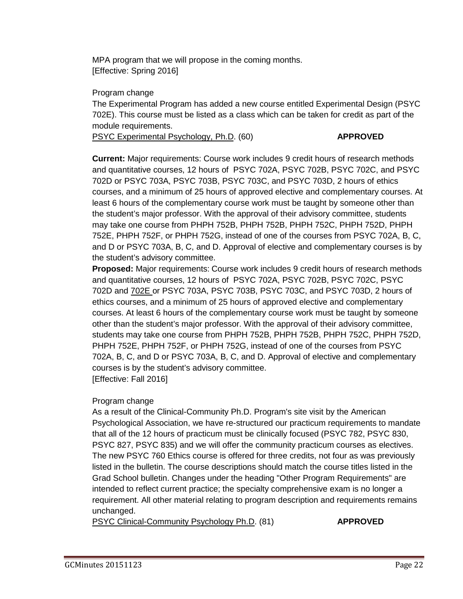MPA program that we will propose in the coming months. [Effective: Spring 2016]

Program change

The Experimental Program has added a new course entitled Experimental Design (PSYC 702E). This course must be listed as a class which can be taken for credit as part of the module requirements.

PSYC Experimental Psychology, Ph.D. (60) **APPROVED**

**Current:** Major requirements: Course work includes 9 credit hours of research methods and quantitative courses, 12 hours of PSYC 702A, PSYC 702B, PSYC 702C, and PSYC 702D or PSYC 703A, PSYC 703B, PSYC 703C, and PSYC 703D, 2 hours of ethics courses, and a minimum of 25 hours of approved elective and complementary courses. At least 6 hours of the complementary course work must be taught by someone other than the student's major professor. With the approval of their advisory committee, students may take one course from PHPH 752B, PHPH 752B, PHPH 752C, PHPH 752D, PHPH 752E, PHPH 752F, or PHPH 752G, instead of one of the courses from PSYC 702A, B, C, and D or PSYC 703A, B, C, and D. Approval of elective and complementary courses is by the student's advisory committee.

**Proposed:** Major requirements: Course work includes 9 credit hours of research methods and quantitative courses, 12 hours of PSYC 702A, PSYC 702B, PSYC 702C, PSYC 702D and 702E or PSYC 703A, PSYC 703B, PSYC 703C, and PSYC 703D, 2 hours of ethics courses, and a minimum of 25 hours of approved elective and complementary courses. At least 6 hours of the complementary course work must be taught by someone other than the student's major professor. With the approval of their advisory committee, students may take one course from PHPH 752B, PHPH 752B, PHPH 752C, PHPH 752D, PHPH 752E, PHPH 752F, or PHPH 752G, instead of one of the courses from PSYC 702A, B, C, and D or PSYC 703A, B, C, and D. Approval of elective and complementary courses is by the student's advisory committee. [Effective: Fall 2016]

## Program change

As a result of the Clinical-Community Ph.D. Program's site visit by the American Psychological Association, we have re-structured our practicum requirements to mandate that all of the 12 hours of practicum must be clinically focused (PSYC 782, PSYC 830, PSYC 827, PSYC 835) and we will offer the community practicum courses as electives. The new PSYC 760 Ethics course is offered for three credits, not four as was previously listed in the bulletin. The course descriptions should match the course titles listed in the Grad School bulletin. Changes under the heading "Other Program Requirements" are intended to reflect current practice; the specialty comprehensive exam is no longer a requirement. All other material relating to program description and requirements remains unchanged.

PSYC Clinical-Community Psychology Ph.D. (81) **APPROVED**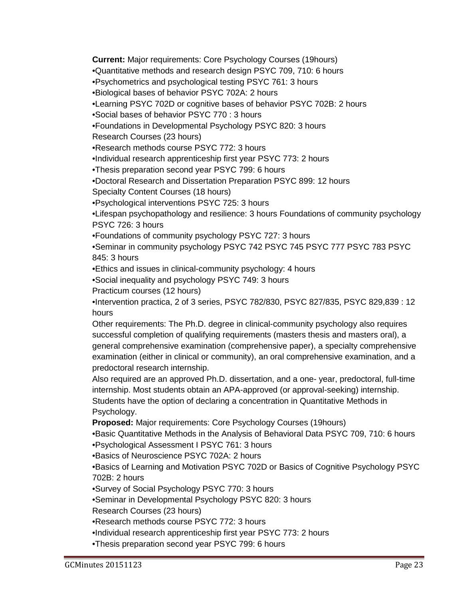**Current:** Major requirements: Core Psychology Courses (19hours)

•Quantitative methods and research design PSYC 709, 710: 6 hours

•Psychometrics and psychological testing PSYC 761: 3 hours

•Biological bases of behavior PSYC 702A: 2 hours

•Learning PSYC 702D or cognitive bases of behavior PSYC 702B: 2 hours

•Social bases of behavior PSYC 770 : 3 hours

•Foundations in Developmental Psychology PSYC 820: 3 hours

Research Courses (23 hours)

•Research methods course PSYC 772: 3 hours

•Individual research apprenticeship first year PSYC 773: 2 hours

•Thesis preparation second year PSYC 799: 6 hours

•Doctoral Research and Dissertation Preparation PSYC 899: 12 hours

Specialty Content Courses (18 hours)

•Psychological interventions PSYC 725: 3 hours

•Lifespan psychopathology and resilience: 3 hours Foundations of community psychology PSYC 726: 3 hours

•Foundations of community psychology PSYC 727: 3 hours

•Seminar in community psychology PSYC 742 PSYC 745 PSYC 777 PSYC 783 PSYC 845: 3 hours

•Ethics and issues in clinical-community psychology: 4 hours

•Social inequality and psychology PSYC 749: 3 hours

Practicum courses (12 hours)

•Intervention practica, 2 of 3 series, PSYC 782/830, PSYC 827/835, PSYC 829,839 : 12 hours

Other requirements: The Ph.D. degree in clinical-community psychology also requires successful completion of qualifying requirements (masters thesis and masters oral), a general comprehensive examination (comprehensive paper), a specialty comprehensive examination (either in clinical or community), an oral comprehensive examination, and a predoctoral research internship.

Also required are an approved Ph.D. dissertation, and a one- year, predoctoral, full-time internship. Most students obtain an APA-approved (or approval-seeking) internship. Students have the option of declaring a concentration in Quantitative Methods in Psychology.

**Proposed:** Major requirements: Core Psychology Courses (19hours)

•Basic Quantitative Methods in the Analysis of Behavioral Data PSYC 709, 710: 6 hours •Psychological Assessment I PSYC 761: 3 hours

•Basics of Neuroscience PSYC 702A: 2 hours

•Basics of Learning and Motivation PSYC 702D or Basics of Cognitive Psychology PSYC 702B: 2 hours

•Survey of Social Psychology PSYC 770: 3 hours

•Seminar in Developmental Psychology PSYC 820: 3 hours

Research Courses (23 hours)

•Research methods course PSYC 772: 3 hours

•Individual research apprenticeship first year PSYC 773: 2 hours

•Thesis preparation second year PSYC 799: 6 hours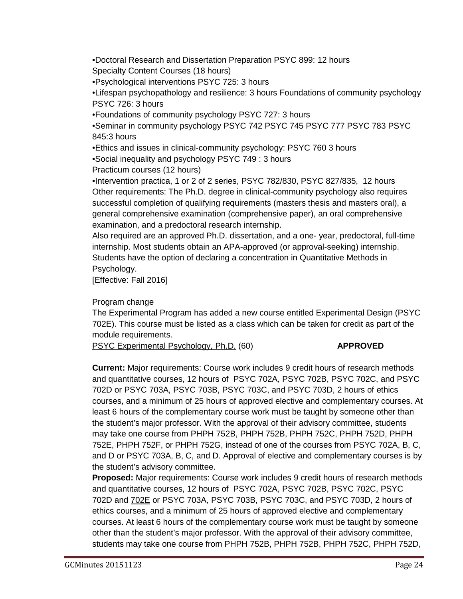•Doctoral Research and Dissertation Preparation PSYC 899: 12 hours Specialty Content Courses (18 hours)

•Psychological interventions PSYC 725: 3 hours

•Lifespan psychopathology and resilience: 3 hours Foundations of community psychology PSYC 726: 3 hours

•Foundations of community psychology PSYC 727: 3 hours

•Seminar in community psychology PSYC 742 PSYC 745 PSYC 777 PSYC 783 PSYC 845:3 hours

•Ethics and issues in clinical-community psychology: PSYC 760 3 hours

•Social inequality and psychology PSYC 749 : 3 hours

Practicum courses (12 hours)

•Intervention practica, 1 or 2 of 2 series, PSYC 782/830, PSYC 827/835, 12 hours Other requirements: The Ph.D. degree in clinical-community psychology also requires successful completion of qualifying requirements (masters thesis and masters oral), a general comprehensive examination (comprehensive paper), an oral comprehensive examination, and a predoctoral research internship.

Also required are an approved Ph.D. dissertation, and a one- year, predoctoral, full-time internship. Most students obtain an APA-approved (or approval-seeking) internship. Students have the option of declaring a concentration in Quantitative Methods in Psychology.

[Effective: Fall 2016]

Program change

The Experimental Program has added a new course entitled Experimental Design (PSYC 702E). This course must be listed as a class which can be taken for credit as part of the module requirements.

PSYC Experimental Psychology, Ph.D. (60) **APPROVED**

**Current:** Major requirements: Course work includes 9 credit hours of research methods and quantitative courses, 12 hours of PSYC 702A, PSYC 702B, PSYC 702C, and PSYC 702D or PSYC 703A, PSYC 703B, PSYC 703C, and PSYC 703D, 2 hours of ethics courses, and a minimum of 25 hours of approved elective and complementary courses. At least 6 hours of the complementary course work must be taught by someone other than the student's major professor. With the approval of their advisory committee, students may take one course from PHPH 752B, PHPH 752B, PHPH 752C, PHPH 752D, PHPH 752E, PHPH 752F, or PHPH 752G, instead of one of the courses from PSYC 702A, B, C, and D or PSYC 703A, B, C, and D. Approval of elective and complementary courses is by the student's advisory committee.

**Proposed:** Major requirements: Course work includes 9 credit hours of research methods and quantitative courses, 12 hours of PSYC 702A, PSYC 702B, PSYC 702C, PSYC 702D and 702E or PSYC 703A, PSYC 703B, PSYC 703C, and PSYC 703D, 2 hours of ethics courses, and a minimum of 25 hours of approved elective and complementary courses. At least 6 hours of the complementary course work must be taught by someone other than the student's major professor. With the approval of their advisory committee, students may take one course from PHPH 752B, PHPH 752B, PHPH 752C, PHPH 752D,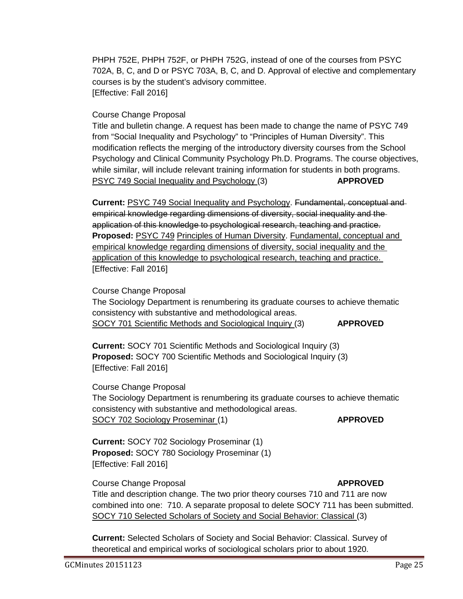PHPH 752E, PHPH 752F, or PHPH 752G, instead of one of the courses from PSYC 702A, B, C, and D or PSYC 703A, B, C, and D. Approval of elective and complementary courses is by the student's advisory committee. [Effective: Fall 2016]

Course Change Proposal

Title and bulletin change. A request has been made to change the name of PSYC 749 from "Social Inequality and Psychology" to "Principles of Human Diversity". This modification reflects the merging of the introductory diversity courses from the School Psychology and Clinical Community Psychology Ph.D. Programs. The course objectives, while similar, will include relevant training information for students in both programs. PSYC 749 Social Inequality and Psychology (3) **APPROVED**

**Current:** PSYC 749 Social Inequality and Psychology. Fundamental, conceptual and empirical knowledge regarding dimensions of diversity, social inequality and the application of this knowledge to psychological research, teaching and practice. **Proposed:** PSYC 749 Principles of Human Diversity. Fundamental, conceptual and empirical knowledge regarding dimensions of diversity, social inequality and the application of this knowledge to psychological research, teaching and practice. [Effective: Fall 2016]

Course Change Proposal

The Sociology Department is renumbering its graduate courses to achieve thematic consistency with substantive and methodological areas. SOCY 701 Scientific Methods and Sociological Inquiry (3) **APPROVED**

**Current:** SOCY 701 Scientific Methods and Sociological Inquiry (3) **Proposed:** SOCY 700 Scientific Methods and Sociological Inquiry (3) [Effective: Fall 2016]

Course Change Proposal The Sociology Department is renumbering its graduate courses to achieve thematic consistency with substantive and methodological areas. SOCY 702 Sociology Proseminar (1) **APPROVED** 

**Current:** SOCY 702 Sociology Proseminar (1) **Proposed:** SOCY 780 Sociology Proseminar (1) [Effective: Fall 2016]

**Course Change Proposal** *APPROVED* Title and description change. The two prior theory courses 710 and 711 are now combined into one: 710. A separate proposal to delete SOCY 711 has been submitted. SOCY 710 Selected Scholars of Society and Social Behavior: Classical (3)

**Current:** Selected Scholars of Society and Social Behavior: Classical. Survey of theoretical and empirical works of sociological scholars prior to about 1920.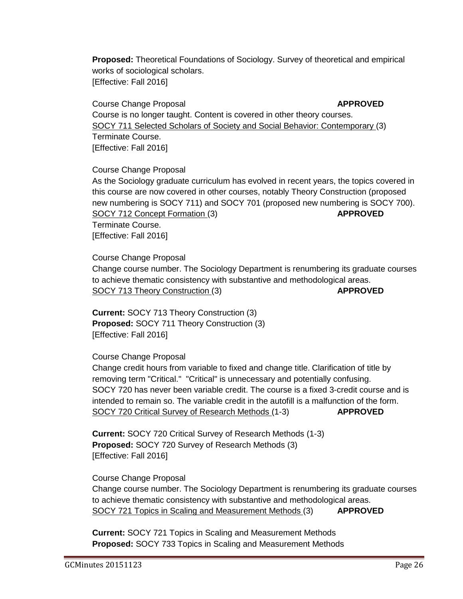**Proposed:** Theoretical Foundations of Sociology. Survey of theoretical and empirical works of sociological scholars. [Effective: Fall 2016]

Course Change Proposal **APPROVED** Course is no longer taught. Content is covered in other theory courses. SOCY 711 Selected Scholars of Society and Social Behavior: Contemporary (3) Terminate Course. [Effective: Fall 2016]

Course Change Proposal As the Sociology graduate curriculum has evolved in recent years, the topics covered in this course are now covered in other courses, notably Theory Construction (proposed new numbering is SOCY 711) and SOCY 701 (proposed new numbering is SOCY 700). SOCY 712 Concept Formation (3) **APPROVED** Terminate Course. [Effective: Fall 2016]

Course Change Proposal Change course number. The Sociology Department is renumbering its graduate courses to achieve thematic consistency with substantive and methodological areas. SOCY 713 Theory Construction (3) **APPROVED** 

**Current:** SOCY 713 Theory Construction (3) **Proposed:** SOCY 711 Theory Construction (3) [Effective: Fall 2016]

Course Change Proposal

Change credit hours from variable to fixed and change title. Clarification of title by removing term "Critical." "Critical" is unnecessary and potentially confusing. SOCY 720 has never been variable credit. The course is a fixed 3-credit course and is intended to remain so. The variable credit in the autofill is a malfunction of the form. SOCY 720 Critical Survey of Research Methods (1-3) **APPROVED**

**Current:** SOCY 720 Critical Survey of Research Methods (1-3) **Proposed:** SOCY 720 Survey of Research Methods (3) [Effective: Fall 2016]

Course Change Proposal Change course number. The Sociology Department is renumbering its graduate courses to achieve thematic consistency with substantive and methodological areas. SOCY 721 Topics in Scaling and Measurement Methods (3) **APPROVED**

**Current:** SOCY 721 Topics in Scaling and Measurement Methods **Proposed:** SOCY 733 Topics in Scaling and Measurement Methods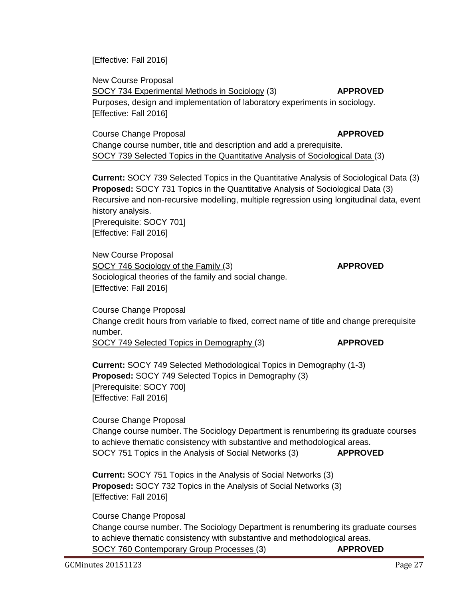[Effective: Fall 2016]

New Course Proposal SOCY 734 Experimental Methods in Sociology (3) **APPROVED** Purposes, design and implementation of laboratory experiments in sociology. [Effective: Fall 2016]

**Course Change Proposal** *APPROVED* Change course number, title and description and add a prerequisite. SOCY 739 Selected Topics in the Quantitative Analysis of Sociological Data (3)

**Current:** SOCY 739 Selected Topics in the Quantitative Analysis of Sociological Data (3) **Proposed:** SOCY 731 Topics in the Quantitative Analysis of Sociological Data (3) Recursive and non-recursive modelling, multiple regression using longitudinal data, event history analysis. [Prerequisite: SOCY 701] [Effective: Fall 2016]

New Course Proposal SOCY 746 Sociology of the Family (3) **APPROVED** Sociological theories of the family and social change. [Effective: Fall 2016]

Course Change Proposal Change credit hours from variable to fixed, correct name of title and change prerequisite number.

SOCY 749 Selected Topics in Demography (3) **APPROVED**

**Current:** SOCY 749 Selected Methodological Topics in Demography (1-3) **Proposed:** SOCY 749 Selected Topics in Demography (3) [Prerequisite: SOCY 700] [Effective: Fall 2016]

Course Change Proposal Change course number. The Sociology Department is renumbering its graduate courses to achieve thematic consistency with substantive and methodological areas. SOCY 751 Topics in the Analysis of Social Networks (3) **APPROVED**

**Current:** SOCY 751 Topics in the Analysis of Social Networks (3) **Proposed:** SOCY 732 Topics in the Analysis of Social Networks (3) [Effective: Fall 2016]

Course Change Proposal Change course number. The Sociology Department is renumbering its graduate courses to achieve thematic consistency with substantive and methodological areas. SOCY 760 Contemporary Group Processes (3) **APPROVED**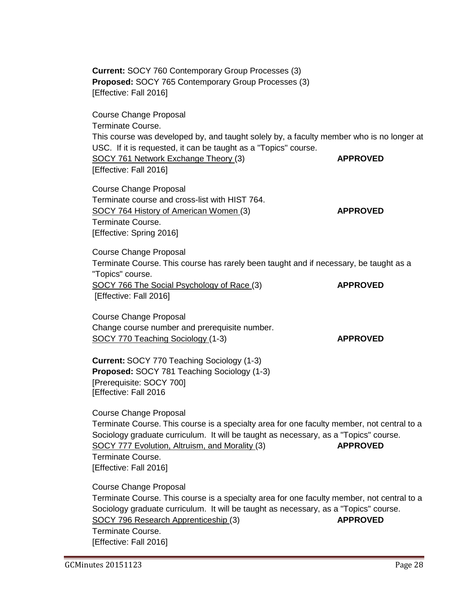**Current:** SOCY 760 Contemporary Group Processes (3) **Proposed:** SOCY 765 Contemporary Group Processes (3) [Effective: Fall 2016] Course Change Proposal Terminate Course. This course was developed by, and taught solely by, a faculty member who is no longer at USC. If it is requested, it can be taught as a "Topics" course. SOCY 761 Network Exchange Theory (3) **APPROVED** [Effective: Fall 2016] Course Change Proposal Terminate course and cross-list with HIST 764. SOCY 764 History of American Women (3) **APPROVED** Terminate Course. [Effective: Spring 2016] Course Change Proposal Terminate Course. This course has rarely been taught and if necessary, be taught as a "Topics" course. SOCY 766 The Social Psychology of Race (3) **APPROVED** [Effective: Fall 2016] Course Change Proposal Change course number and prerequisite number. SOCY 770 Teaching Sociology (1-3) **APPROVED Current:** SOCY 770 Teaching Sociology (1-3) **Proposed:** SOCY 781 Teaching Sociology (1-3) [Prerequisite: SOCY 700] [Effective: Fall 2016 Course Change Proposal Terminate Course. This course is a specialty area for one faculty member, not central to a Sociology graduate curriculum. It will be taught as necessary, as a "Topics" course. SOCY 777 Evolution, Altruism, and Morality (3) **APPROVED** Terminate Course. [Effective: Fall 2016] Course Change Proposal Terminate Course. This course is a specialty area for one faculty member, not central to a Sociology graduate curriculum. It will be taught as necessary, as a "Topics" course. SOCY 796 Research Apprenticeship (3) **APPROVED** Terminate Course. [Effective: Fall 2016]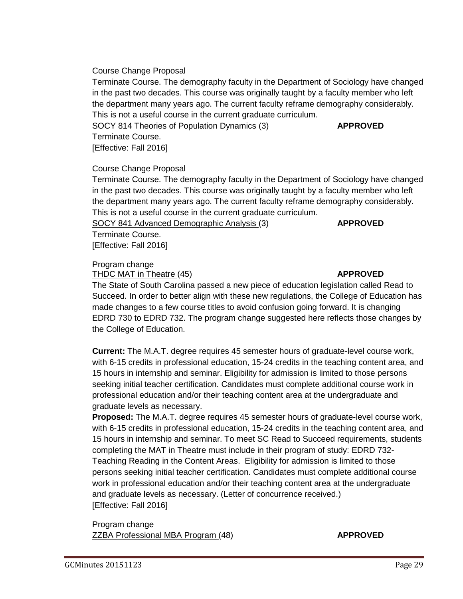## Course Change Proposal

Terminate Course. The demography faculty in the Department of Sociology have changed in the past two decades. This course was originally taught by a faculty member who left the department many years ago. The current faculty reframe demography considerably. This is not a useful course in the current graduate curriculum.

SOCY 814 Theories of Population Dynamics (3) **APPROVED**

Terminate Course.

[Effective: Fall 2016]

## Course Change Proposal

Terminate Course. The demography faculty in the Department of Sociology have changed in the past two decades. This course was originally taught by a faculty member who left the department many years ago. The current faculty reframe demography considerably. This is not a useful course in the current graduate curriculum.

SOCY 841 Advanced Demographic Analysis (3) **APPROVED**

Terminate Course. [Effective: Fall 2016]

## Program change

THDC MAT in Theatre (45) **APPROVED**

The State of South Carolina passed a new piece of education legislation called Read to Succeed. In order to better align with these new regulations, the College of Education has made changes to a few course titles to avoid confusion going forward. It is changing EDRD 730 to EDRD 732. The program change suggested here reflects those changes by the College of Education.

**Current:** The M.A.T. degree requires 45 semester hours of graduate-level course work, with 6-15 credits in professional education, 15-24 credits in the teaching content area, and 15 hours in internship and seminar. Eligibility for admission is limited to those persons seeking initial teacher certification. Candidates must complete additional course work in professional education and/or their teaching content area at the undergraduate and graduate levels as necessary.

**Proposed:** The M.A.T. degree requires 45 semester hours of graduate-level course work, with 6-15 credits in professional education, 15-24 credits in the teaching content area, and 15 hours in internship and seminar. To meet SC Read to Succeed requirements, students completing the MAT in Theatre must include in their program of study: EDRD 732- Teaching Reading in the Content Areas. Eligibility for admission is limited to those persons seeking initial teacher certification. Candidates must complete additional course work in professional education and/or their teaching content area at the undergraduate and graduate levels as necessary. (Letter of concurrence received.) [Effective: Fall 2016]

Program change ZZBA Professional MBA Program (48) **APPROVED**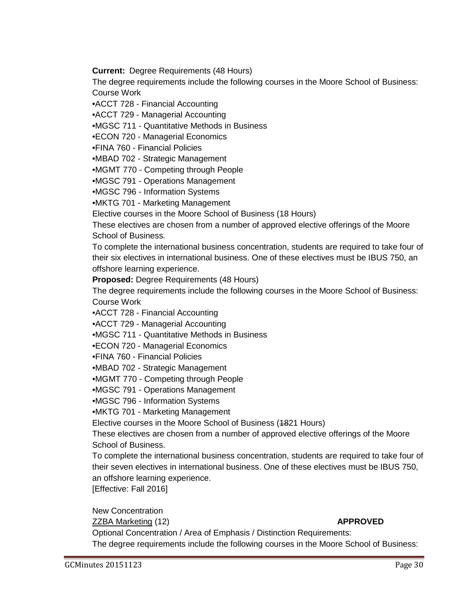**Current:** Degree Requirements (48 Hours)

The degree requirements include the following courses in the Moore School of Business: Course Work

•ACCT 728 - Financial Accounting

•ACCT 729 - Managerial Accounting

•MGSC 711 - Quantitative Methods in Business

•ECON 720 - Managerial Economics

•FINA 760 - Financial Policies

•MBAD 702 - Strategic Management

•MGMT 770 - Competing through People

•MGSC 791 - Operations Management

•MGSC 796 - Information Systems

•MKTG 701 - Marketing Management

Elective courses in the Moore School of Business (18 Hours)

These electives are chosen from a number of approved elective offerings of the Moore School of Business.

To complete the international business concentration, students are required to take four of their six electives in international business. One of these electives must be IBUS 750, an offshore learning experience.

**Proposed:** Degree Requirements (48 Hours)

The degree requirements include the following courses in the Moore School of Business: Course Work

•ACCT 728 - Financial Accounting

•ACCT 729 - Managerial Accounting

•MGSC 711 - Quantitative Methods in Business

•ECON 720 - Managerial Economics

•FINA 760 - Financial Policies

•MBAD 702 - Strategic Management

•MGMT 770 - Competing through People

•MGSC 791 - Operations Management

•MGSC 796 - Information Systems

•MKTG 701 - Marketing Management

Elective courses in the Moore School of Business (1821 Hours)

These electives are chosen from a number of approved elective offerings of the Moore School of Business.

To complete the international business concentration, students are required to take four of their seven electives in international business. One of these electives must be IBUS 750, an offshore learning experience.

[Effective: Fall 2016]

New Concentration

ZZBA Marketing (12) **APPROVED**

Optional Concentration / Area of Emphasis / Distinction Requirements: The degree requirements include the following courses in the Moore School of Business: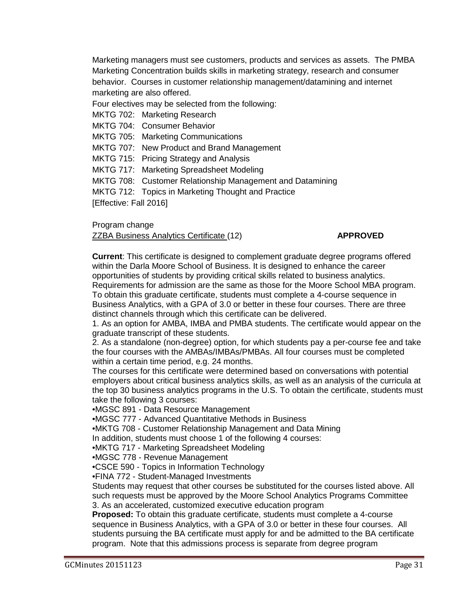Marketing managers must see customers, products and services as assets. The PMBA Marketing Concentration builds skills in marketing strategy, research and consumer behavior. Courses in customer relationship management/datamining and internet marketing are also offered.

Four electives may be selected from the following:

MKTG 702: Marketing Research

MKTG 704: Consumer Behavior

MKTG 705: Marketing Communications

MKTG 707: New Product and Brand Management

MKTG 715: Pricing Strategy and Analysis

MKTG 717: Marketing Spreadsheet Modeling

MKTG 708: Customer Relationship Management and Datamining

MKTG 712: Topics in Marketing Thought and Practice

[Effective: Fall 2016]

Program change

ZZBA Business Analytics Certificate (12) **APPROVED**

**Current**: This certificate is designed to complement graduate degree programs offered within the Darla Moore School of Business. It is designed to enhance the career opportunities of students by providing critical skills related to business analytics. Requirements for admission are the same as those for the Moore School MBA program. To obtain this graduate certificate, students must complete a 4-course sequence in Business Analytics, with a GPA of 3.0 or better in these four courses. There are three distinct channels through which this certificate can be delivered.

1. As an option for AMBA, IMBA and PMBA students. The certificate would appear on the graduate transcript of these students.

2. As a standalone (non-degree) option, for which students pay a per-course fee and take the four courses with the AMBAs/IMBAs/PMBAs. All four courses must be completed within a certain time period, e.g. 24 months.

The courses for this certificate were determined based on conversations with potential employers about critical business analytics skills, as well as an analysis of the curricula at the top 30 business analytics programs in the U.S. To obtain the certificate, students must take the following 3 courses:

•MGSC 891 - Data Resource Management

•MGSC 777 - Advanced Quantitative Methods in Business

•MKTG 708 - Customer Relationship Management and Data Mining

In addition, students must choose 1 of the following 4 courses:

•MKTG 717 - Marketing Spreadsheet Modeling

•MGSC 778 - Revenue Management

•CSCE 590 - Topics in Information Technology

•FINA 772 - Student-Managed Investments

Students may request that other courses be substituted for the courses listed above. All such requests must be approved by the Moore School Analytics Programs Committee 3. As an accelerated, customized executive education program

**Proposed:** To obtain this graduate certificate, students must complete a 4-course sequence in Business Analytics, with a GPA of 3.0 or better in these four courses. All students pursuing the BA certificate must apply for and be admitted to the BA certificate program. Note that this admissions process is separate from degree program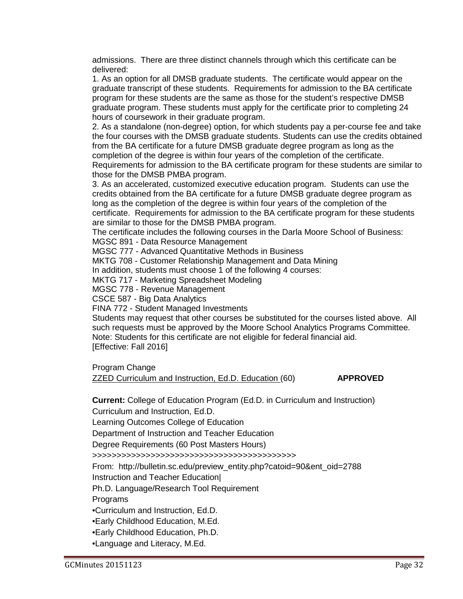admissions. There are three distinct channels through which this certificate can be delivered:

1. As an option for all DMSB graduate students. The certificate would appear on the graduate transcript of these students. Requirements for admission to the BA certificate program for these students are the same as those for the student's respective DMSB graduate program. These students must apply for the certificate prior to completing 24 hours of coursework in their graduate program.

2. As a standalone (non-degree) option, for which students pay a per-course fee and take the four courses with the DMSB graduate students. Students can use the credits obtained from the BA certificate for a future DMSB graduate degree program as long as the completion of the degree is within four years of the completion of the certificate. Requirements for admission to the BA certificate program for these students are similar to those for the DMSB PMBA program.

3. As an accelerated, customized executive education program. Students can use the credits obtained from the BA certificate for a future DMSB graduate degree program as long as the completion of the degree is within four years of the completion of the certificate. Requirements for admission to the BA certificate program for these students are similar to those for the DMSB PMBA program.

The certificate includes the following courses in the Darla Moore School of Business:

MGSC 891 - Data Resource Management

MGSC 777 - Advanced Quantitative Methods in Business

MKTG 708 - Customer Relationship Management and Data Mining

In addition, students must choose 1 of the following 4 courses:

MKTG 717 - Marketing Spreadsheet Modeling

MGSC 778 - Revenue Management

CSCE 587 - Big Data Analytics

FINA 772 - Student Managed Investments

Students may request that other courses be substituted for the courses listed above. All such requests must be approved by the Moore School Analytics Programs Committee. Note: Students for this certificate are not eligible for federal financial aid. [Effective: Fall 2016]

Program Change

ZZED Curriculum and Instruction, Ed.D. Education (60) **APPROVED**

**Current:** College of Education Program (Ed.D. in Curriculum and Instruction)

Curriculum and Instruction, Ed.D.

Learning Outcomes College of Education

Department of Instruction and Teacher Education

Degree Requirements (60 Post Masters Hours)

>>>>>>>>>>>>>>>>>>>>>>>>>>>>>>>>>>>>>>>>>>

From: http://bulletin.sc.edu/preview\_entity.php?catoid=90&ent\_oid=2788

Instruction and Teacher Education|

Ph.D. Language/Research Tool Requirement

Programs

•Curriculum and Instruction, Ed.D.

•Early Childhood Education, M.Ed.

•Early Childhood Education, Ph.D.

•Language and Literacy, M.Ed.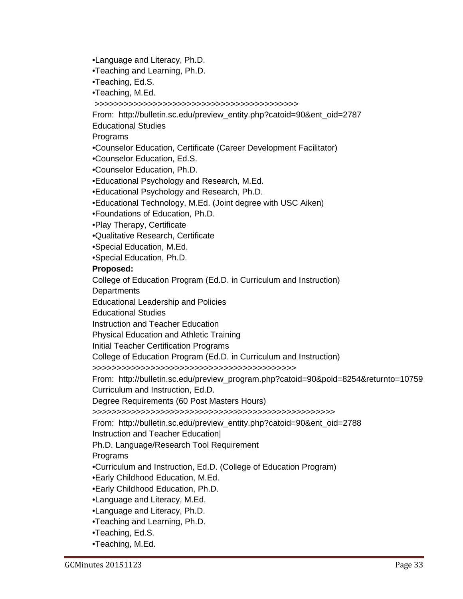•Language and Literacy, Ph.D.

•Teaching and Learning, Ph.D.

•Teaching, Ed.S.

•Teaching, M.Ed.

>>>>>>>>>>>>>>>>>>>>>>>>>>>>>>>>>>>>>>>>>>

From: http://bulletin.sc.edu/preview\_entity.php?catoid=90&ent\_oid=2787

Educational Studies

Programs

•Counselor Education, Certificate (Career Development Facilitator)

•Counselor Education, Ed.S.

•Counselor Education, Ph.D.

•Educational Psychology and Research, M.Ed.

•Educational Psychology and Research, Ph.D.

•Educational Technology, M.Ed. (Joint degree with USC Aiken)

•Foundations of Education, Ph.D.

•Play Therapy, Certificate

•Qualitative Research, Certificate

•Special Education, M.Ed.

•Special Education, Ph.D.

## **Proposed:**

College of Education Program (Ed.D. in Curriculum and Instruction)

**Departments** 

Educational Leadership and Policies

Educational Studies

Instruction and Teacher Education

Physical Education and Athletic Training

Initial Teacher Certification Programs

College of Education Program (Ed.D. in Curriculum and Instruction)

>>>>>>>>>>>>>>>>>>>>>>>>>>>>>>>>>>>>>>>>>>

From: http://bulletin.sc.edu/preview\_program.php?catoid=90&poid=8254&returnto=10759 Curriculum and Instruction, Ed.D.

Degree Requirements (60 Post Masters Hours)

>>>>>>>>>>>>>>>>>>>>>>>>>>>>>>>>>>>>>>>>>>>>>>>>>>

From: http://bulletin.sc.edu/preview\_entity.php?catoid=90&ent\_oid=2788

Instruction and Teacher Education|

Ph.D. Language/Research Tool Requirement

Programs

•Curriculum and Instruction, Ed.D. (College of Education Program)

•Early Childhood Education, M.Ed.

•Early Childhood Education, Ph.D.

•Language and Literacy, M.Ed.

•Language and Literacy, Ph.D.

•Teaching and Learning, Ph.D.

•Teaching, Ed.S.

•Teaching, M.Ed.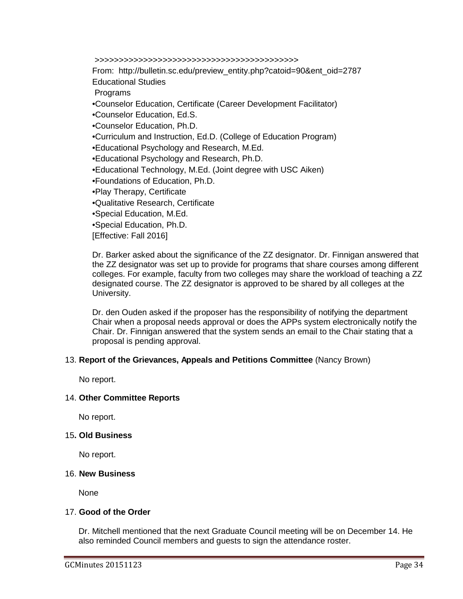>>>>>>>>>>>>>>>>>>>>>>>>>>>>>>>>>>>>>>>>>>

From: http://bulletin.sc.edu/preview\_entity.php?catoid=90&ent\_oid=2787 Educational Studies

**Programs** 

•Counselor Education, Certificate (Career Development Facilitator)

•Counselor Education, Ed.S.

•Counselor Education, Ph.D.

•Curriculum and Instruction, Ed.D. (College of Education Program)

•Educational Psychology and Research, M.Ed.

•Educational Psychology and Research, Ph.D.

•Educational Technology, M.Ed. (Joint degree with USC Aiken)

•Foundations of Education, Ph.D.

•Play Therapy, Certificate

•Qualitative Research, Certificate

•Special Education, M.Ed.

•Special Education, Ph.D.

[Effective: Fall 2016]

Dr. Barker asked about the significance of the ZZ designator. Dr. Finnigan answered that the ZZ designator was set up to provide for programs that share courses among different colleges. For example, faculty from two colleges may share the workload of teaching a ZZ designated course. The ZZ designator is approved to be shared by all colleges at the University.

Dr. den Ouden asked if the proposer has the responsibility of notifying the department Chair when a proposal needs approval or does the APPs system electronically notify the Chair. Dr. Finnigan answered that the system sends an email to the Chair stating that a proposal is pending approval.

## 13. **Report of the Grievances, Appeals and Petitions Committee** (Nancy Brown)

No report.

## 14. **Other Committee Reports**

No report.

## 15**. Old Business**

No report.

## 16. **New Business**

None

## 17. **Good of the Order**

Dr. Mitchell mentioned that the next Graduate Council meeting will be on December 14. He also reminded Council members and guests to sign the attendance roster.